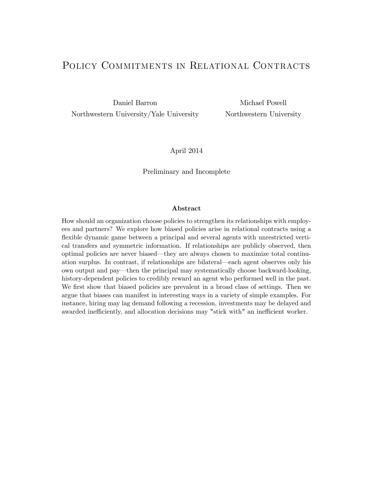# POLICY COMMITMENTS IN RELATIONAL CONTRACTS

Daniel Barron Michael Powell Northwestern University/Yale University Northwestern University

### April 2014

#### Preliminary and Incomplete

#### Abstract

How should an organization choose policies to strengthen its relationships with employees and partners? We explore how biased policies arise in relational contracts using a flexible dynamic game between a principal and several agents with unrestricted vertical transfers and symmetric information. If relationships are publicly observed, then optimal policies are never biased—they are always chosen to maximize total continuation surplus. In contrast, if relationships are bilateral—each agent observes only his own output and pay—then the principal may systematically choose backward-looking, history-dependent policies to credibly reward an agent who performed well in the past. We first show that biased policies are prevalent in a broad class of settings. Then we argue that biases can manifest in interesting ways in a variety of simple examples. For instance, hiring may lag demand following a recession, investments may be delayed and awarded inefficiently, and allocation decisions may "stick with" an inefficient worker.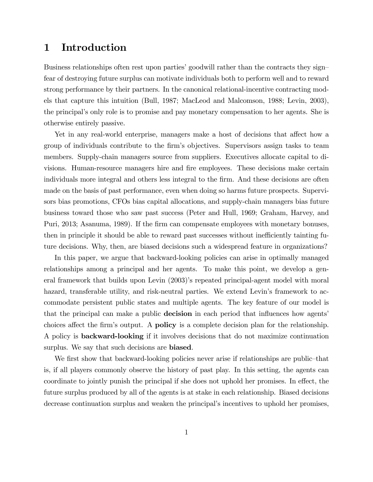# 1 Introduction

Business relationships often rest upon parties' goodwill rather than the contracts they sign fear of destroying future surplus can motivate individuals both to perform well and to reward strong performance by their partners. In the canonical relational-incentive contracting models that capture this intuition (Bull, 1987; MacLeod and Malcomson, 1988; Levin, 2003), the principalís only role is to promise and pay monetary compensation to her agents. She is otherwise entirely passive.

Yet in any real-world enterprise, managers make a host of decisions that affect how a group of individuals contribute to the Örmís objectives. Supervisors assign tasks to team members. Supply-chain managers source from suppliers. Executives allocate capital to divisions. Human-resource managers hire and fire employees. These decisions make certain individuals more integral and others less integral to the firm. And these decisions are often made on the basis of past performance, even when doing so harms future prospects. Supervisors bias promotions, CFOs bias capital allocations, and supply-chain managers bias future business toward those who saw past success (Peter and Hull, 1969; Graham, Harvey, and Puri, 2013; Asanuma, 1989). If the firm can compensate employees with monetary bonuses, then in principle it should be able to reward past successes without inefficiently tainting future decisions. Why, then, are biased decisions such a widespread feature in organizations?

In this paper, we argue that backward-looking policies can arise in optimally managed relationships among a principal and her agents. To make this point, we develop a general framework that builds upon Levin (2003)'s repeated principal-agent model with moral hazard, transferable utility, and risk-neutral parties. We extend Levin's framework to accommodate persistent public states and multiple agents. The key feature of our model is that the principal can make a public **decision** in each period that influences how agents' choices affect the firm's output. A **policy** is a complete decision plan for the relationship. A policy is backward-looking if it involves decisions that do not maximize continuation surplus. We say that such decisions are **biased**.

We first show that backward-looking policies never arise if relationships are public-that is, if all players commonly observe the history of past play. In this setting, the agents can coordinate to jointly punish the principal if she does not uphold her promises. In effect, the future surplus produced by all of the agents is at stake in each relationship. Biased decisions decrease continuation surplus and weaken the principalís incentives to uphold her promises,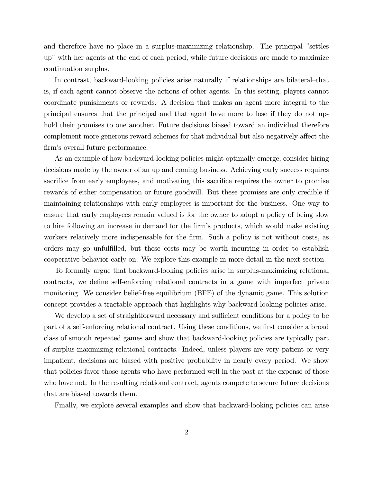and therefore have no place in a surplus-maximizing relationship. The principal "settles up" with her agents at the end of each period, while future decisions are made to maximize continuation surplus.

In contrast, backward-looking policies arise naturally if relationships are bilateral-that is, if each agent cannot observe the actions of other agents. In this setting, players cannot coordinate punishments or rewards. A decision that makes an agent more integral to the principal ensures that the principal and that agent have more to lose if they do not uphold their promises to one another. Future decisions biased toward an individual therefore complement more generous reward schemes for that individual but also negatively affect the firm's overall future performance.

As an example of how backward-looking policies might optimally emerge, consider hiring decisions made by the owner of an up and coming business. Achieving early success requires sacrifice from early employees, and motivating this sacrifice requires the owner to promise rewards of either compensation or future goodwill. But these promises are only credible if maintaining relationships with early employees is important for the business. One way to ensure that early employees remain valued is for the owner to adopt a policy of being slow to hire following an increase in demand for the firm's products, which would make existing workers relatively more indispensable for the firm. Such a policy is not without costs, as orders may go unfulfilled, but these costs may be worth incurring in order to establish cooperative behavior early on. We explore this example in more detail in the next section.

To formally argue that backward-looking policies arise in surplus-maximizing relational contracts, we define self-enforcing relational contracts in a game with imperfect private monitoring. We consider belief-free equilibrium (BFE) of the dynamic game. This solution concept provides a tractable approach that highlights why backward-looking policies arise.

We develop a set of straightforward necessary and sufficient conditions for a policy to be part of a self-enforcing relational contract. Using these conditions, we first consider a broad class of smooth repeated games and show that backward-looking policies are typically part of surplus-maximizing relational contracts. Indeed, unless players are very patient or very impatient, decisions are biased with positive probability in nearly every period. We show that policies favor those agents who have performed well in the past at the expense of those who have not. In the resulting relational contract, agents compete to secure future decisions that are biased towards them.

Finally, we explore several examples and show that backward-looking policies can arise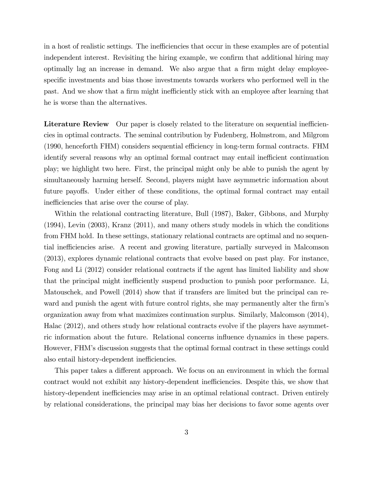in a host of realistic settings. The inefficiencies that occur in these examples are of potential independent interest. Revisiting the hiring example, we confirm that additional hiring may optimally lag an increase in demand. We also argue that a firm might delay employeespecific investments and bias those investments towards workers who performed well in the past. And we show that a firm might inefficiently stick with an employee after learning that he is worse than the alternatives.

Literature Review Our paper is closely related to the literature on sequential inefficiencies in optimal contracts. The seminal contribution by Fudenberg, Holmstrom, and Milgrom (1990, henceforth FHM) considers sequential efficiency in long-term formal contracts. FHM identify several reasons why an optimal formal contract may entail inefficient continuation play; we highlight two here. First, the principal might only be able to punish the agent by simultaneously harming herself. Second, players might have asymmetric information about future payoffs. Under either of these conditions, the optimal formal contract may entail inefficiencies that arise over the course of play.

Within the relational contracting literature, Bull (1987), Baker, Gibbons, and Murphy (1994), Levin (2003), Kranz (2011), and many others study models in which the conditions from FHM hold. In these settings, stationary relational contracts are optimal and no sequential inefficiencies arise. A recent and growing literature, partially surveyed in Malcomson (2013), explores dynamic relational contracts that evolve based on past play. For instance, Fong and Li (2012) consider relational contracts if the agent has limited liability and show that the principal might inefficiently suspend production to punish poor performance. Li, Matouschek, and Powell (2014) show that if transfers are limited but the principal can reward and punish the agent with future control rights, she may permanently alter the firm's organization away from what maximizes continuation surplus. Similarly, Malcomson (2014), Halac (2012), and others study how relational contracts evolve if the players have asymmetric information about the future. Relational concerns influence dynamics in these papers. However, FHM's discussion suggests that the optimal formal contract in these settings could also entail history-dependent inefficiencies.

This paper takes a different approach. We focus on an environment in which the formal contract would not exhibit any history-dependent inefficiencies. Despite this, we show that history-dependent inefficiencies may arise in an optimal relational contract. Driven entirely by relational considerations, the principal may bias her decisions to favor some agents over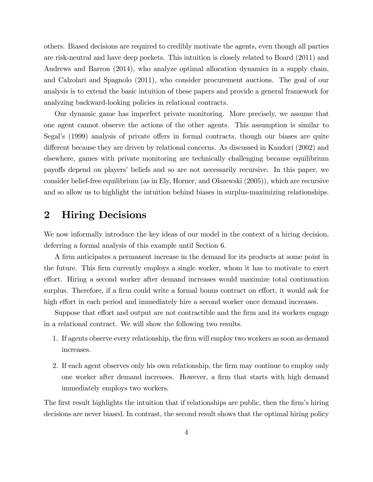others. Biased decisions are required to credibly motivate the agents, even though all parties are risk-neutral and have deep pockets. This intuition is closely related to Board (2011) and Andrews and Barron (2014), who analyze optimal allocation dynamics in a supply chain, and Calzolari and Spagnolo (2011), who consider procurement auctions. The goal of our analysis is to extend the basic intuition of these papers and provide a general framework for analyzing backward-looking policies in relational contracts.

Our dynamic game has imperfect private monitoring. More precisely, we assume that one agent cannot observe the actions of the other agents. This assumption is similar to Segal's (1999) analysis of private offers in formal contracts, though our biases are quite different because they are driven by relational concerns. As discussed in Kandori (2002) and elsewhere, games with private monitoring are technically challenging because equilibrium payoffs depend on players' beliefs and so are not necessarily recursive. In this paper, we consider belief-free equilibrium (as in Ely, Horner, and Olszewski (2005)), which are recursive and so allow us to highlight the intuition behind biases in surplus-maximizing relationships.

# 2 Hiring Decisions

We now informally introduce the key ideas of our model in the context of a hiring decision, deferring a formal analysis of this example until Section 6.

A firm anticipates a permanent increase in the demand for its products at some point in the future. This Örm currently employs a single worker, whom it has to motivate to exert effort. Hiring a second worker after demand increases would maximize total continuation surplus. Therefore, if a firm could write a formal bonus contract on effort, it would ask for high effort in each period and immediately hire a second worker once demand increases.

Suppose that effort and output are not contractible and the firm and its workers engage in a relational contract. We will show the following two results.

- 1. If agents observe every relationship, the Örm will employ two workers as soon as demand increases.
- 2. If each agent observes only his own relationship, the firm may continue to employ only one worker after demand increases. However, a firm that starts with high demand immediately employs two workers.

The first result highlights the intuition that if relationships are public, then the firm's hiring decisions are never biased. In contrast, the second result shows that the optimal hiring policy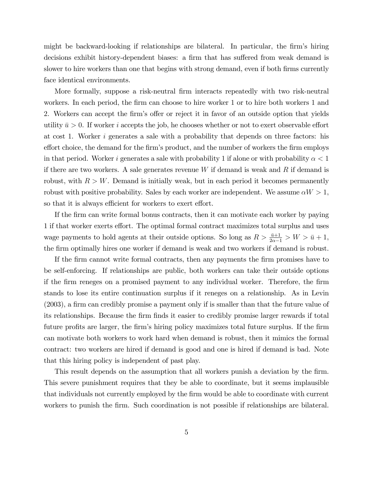might be backward-looking if relationships are bilateral. In particular, the firm's hiring decisions exhibit history-dependent biases: a firm that has suffered from weak demand is slower to hire workers than one that begins with strong demand, even if both firms currently face identical environments.

More formally, suppose a risk-neutral Örm interacts repeatedly with two risk-neutral workers. In each period, the firm can choose to hire worker 1 or to hire both workers 1 and 2. Workers can accept the firm's offer or reject it in favor of an outside option that yields utility  $\bar{u} > 0$ . If worker i accepts the job, he chooses whether or not to exert observable effort at cost 1. Worker i generates a sale with a probability that depends on three factors: his effort choice, the demand for the firm's product, and the number of workers the firm employs in that period. Worker i generates a sale with probability 1 if alone or with probability  $\alpha < 1$ if there are two workers. A sale generates revenue  $W$  if demand is weak and  $R$  if demand is robust, with  $R > W$ . Demand is initially weak, but in each period it becomes permanently robust with positive probability. Sales by each worker are independent. We assume  $\alpha W > 1$ , so that it is always efficient for workers to exert effort.

If the firm can write formal bonus contracts, then it can motivate each worker by paying 1 if that worker exerts effort. The optimal formal contract maximizes total surplus and uses wage payments to hold agents at their outside options. So long as  $R > \frac{\bar{u}+1}{2\alpha-1} > W > \bar{u}+1$ , the Örm optimally hires one worker if demand is weak and two workers if demand is robust.

If the firm cannot write formal contracts, then any payments the firm promises have to be self-enforcing. If relationships are public, both workers can take their outside options if the Örm reneges on a promised payment to any individual worker. Therefore, the Örm stands to lose its entire continuation surplus if it reneges on a relationship. As in Levin  $(2003)$ , a firm can credibly promise a payment only if is smaller than that the future value of its relationships. Because the firm finds it easier to credibly promise larger rewards if total future profits are larger, the firm's hiring policy maximizes total future surplus. If the firm can motivate both workers to work hard when demand is robust, then it mimics the formal contract: two workers are hired if demand is good and one is hired if demand is bad. Note that this hiring policy is independent of past play.

This result depends on the assumption that all workers punish a deviation by the firm. This severe punishment requires that they be able to coordinate, but it seems implausible that individuals not currently employed by the firm would be able to coordinate with current workers to punish the firm. Such coordination is not possible if relationships are bilateral.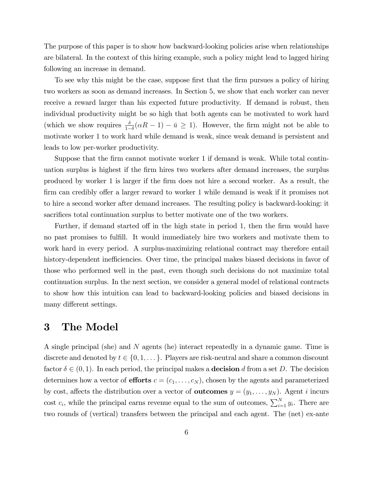The purpose of this paper is to show how backward-looking policies arise when relationships are bilateral. In the context of this hiring example, such a policy might lead to lagged hiring following an increase in demand.

To see why this might be the case, suppose first that the firm pursues a policy of hiring two workers as soon as demand increases. In Section 5, we show that each worker can never receive a reward larger than his expected future productivity. If demand is robust, then individual productivity might be so high that both agents can be motivated to work hard (which we show requires  $\frac{\delta}{1-\delta}(\alpha R - 1) - \bar{u} \ge 1$ ). However, the firm might not be able to motivate worker 1 to work hard while demand is weak, since weak demand is persistent and leads to low per-worker productivity.

Suppose that the firm cannot motivate worker 1 if demand is weak. While total continuation surplus is highest if the Örm hires two workers after demand increases, the surplus produced by worker 1 is larger if the Örm does not hire a second worker. As a result, the firm can credibly offer a larger reward to worker 1 while demand is weak if it promises not to hire a second worker after demand increases. The resulting policy is backward-looking: it sacrifices total continuation surplus to better motivate one of the two workers.

Further, if demand started off in the high state in period 1, then the firm would have no past promises to fulfill. It would immediately hire two workers and motivate them to work hard in every period. A surplus-maximizing relational contract may therefore entail history-dependent inefficiencies. Over time, the principal makes biased decisions in favor of those who performed well in the past, even though such decisions do not maximize total continuation surplus. In the next section, we consider a general model of relational contracts to show how this intuition can lead to backward-looking policies and biased decisions in many different settings.

## 3 The Model

A single principal (she) and N agents (he) interact repeatedly in a dynamic game. Time is discrete and denoted by  $t \in \{0, 1, \ldots\}$ . Players are risk-neutral and share a common discount factor  $\delta \in (0, 1)$ . In each period, the principal makes a **decision** d from a set D. The decision determines how a vector of **efforts**  $c = (c_1, \ldots, c_N)$ , chosen by the agents and parameterized by cost, affects the distribution over a vector of **outcomes**  $y = (y_1, \ldots, y_N)$ . Agent *i* incurs cost  $c_i$ , while the principal earns revenue equal to the sum of outcomes,  $\sum_{i=1}^{N} y_i$ . There are two rounds of (vertical) transfers between the principal and each agent. The (net) ex-ante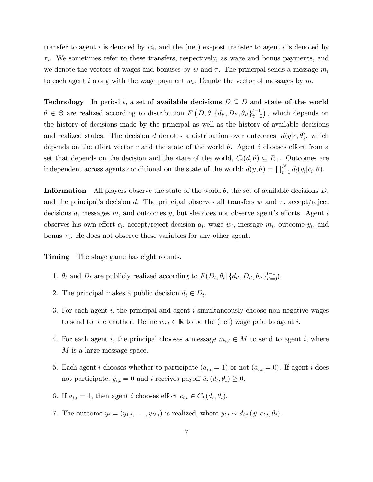transfer to agent i is denoted by  $w_i$ , and the (net) ex-post transfer to agent i is denoted by  $\tau_i$ . We sometimes refer to these transfers, respectively, as wage and bonus payments, and we denote the vectors of wages and bonuses by w and  $\tau$ . The principal sends a message  $m_i$ to each agent i along with the wage payment  $w_i$ . Denote the vector of messages by m.

**Technology** In period t, a set of available decisions  $D \subseteq D$  and state of the world  $\theta \in \Theta$  are realized according to distribution  $F(D, \theta | \{d_{t'}, D_{t'}, \theta_{t'}\}_{t'=0}^{t-1})$ , which depends on the history of decisions made by the principal as well as the history of available decisions and realized states. The decision d denotes a distribution over outcomes,  $d(y|c, \theta)$ , which depends on the effort vector c and the state of the world  $\theta$ . Agent i chooses effort from a set that depends on the decision and the state of the world,  $C_i(d, \theta) \subseteq R_+$ . Outcomes are independent across agents conditional on the state of the world:  $d(y, \theta) = \prod_{i=1}^{N} d_i(y_i | c_i, \theta)$ .

**Information** All players observe the state of the world  $\theta$ , the set of available decisions D, and the principal's decision d. The principal observes all transfers w and  $\tau$ , accept/reject decisions  $a$ , messages  $m$ , and outcomes  $y$ , but she does not observe agent's efforts. Agent  $i$ observes his own effort  $c_i$ , accept/reject decision  $a_i$ , wage  $w_i$ , message  $m_i$ , outcome  $y_i$ , and bonus  $\tau_i$ . He does not observe these variables for any other agent.

Timing The stage game has eight rounds.

- 1.  $\theta_t$  and  $D_t$  are publicly realized according to  $F(D_t, \theta_t | \{d_{t'}, D_{t'}, \theta_{t'}\}_{t'=0}^{t-1})$ .
- 2. The principal makes a public decision  $d_t \in D_t$ .
- 3. For each agent  $i$ , the principal and agent  $i$  simultaneously choose non-negative wages to send to one another. Define  $w_{i,t} \in \mathbb{R}$  to be the (net) wage paid to agent i.
- 4. For each agent i, the principal chooses a message  $m_{i,t} \in M$  to send to agent i, where M is a large message space.
- 5. Each agent i chooses whether to participate  $(a_{i,t} = 1)$  or not  $(a_{i,t} = 0)$ . If agent i does not participate,  $y_{i,t} = 0$  and i receives payoff  $\bar{u}_i(d_t, \theta_t) \geq 0$ .
- 6. If  $a_{i,t} = 1$ , then agent i chooses effort  $c_{i,t} \in C_i(d_t, \theta_t)$ .
- 7. The outcome  $y_t = (y_{1,t}, \ldots, y_{N,t})$  is realized, where  $y_{i,t} \sim d_{i,t} (y | c_{i,t}, \theta_t)$ .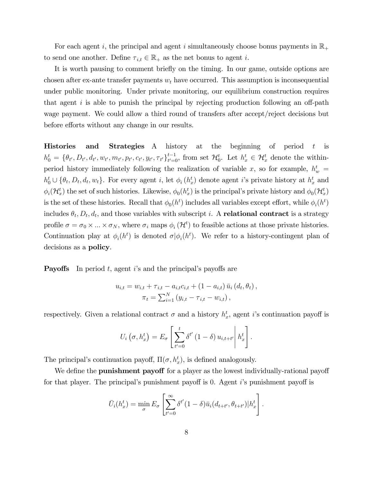For each agent i, the principal and agent i simultaneously choose bonus payments in  $\mathbb{R}_+$ to send one another. Define  $\tau_{i,t} \in \mathbb{R}_+$  as the net bonus to agent i.

It is worth pausing to comment briefly on the timing. In our game, outside options are chosen after ex-ante transfer payments  $w_t$  have occurred. This assumption is inconsequential under public monitoring. Under private monitoring, our equilibrium construction requires that agent i is able to punish the principal by rejecting production following an off-path wage payment. We could allow a third round of transfers after accept/reject decisions but before efforts without any change in our results.

**Histories and Strategies** A history at the beginning of period  $t$  is  $h_0^t = \{\theta_{t'}, D_{t'}, d_{t'}, w_{t'}, m_{t'}, p_{t'}, c_{t'}, y_{t'}, \tau_{t'}\}_{t'=0}^{t-1}$ , from set  $\mathcal{H}_0^t$ . Let  $h_x^t \in \mathcal{H}_x^t$  denote the withinperiod history immediately following the realization of variable x, so for example,  $h_w^t =$  $h_0^t \cup \{\theta_t, D_t, d_t, w_t\}.$  For every agent i, let  $\phi_i(h_x^t)$  denote agent i's private history at  $h_x^t$  and  $\phi_i(\mathcal{H}_x^t)$  the set of such histories. Likewise,  $\phi_0(h_x^t)$  is the principal's private history and  $\phi_0(\mathcal{H}_x^t)$ is the set of these histories. Recall that  $\phi_0(h^t)$  includes all variables except effort, while  $\phi_i(h^t)$ includes  $\theta_t$ ,  $D_t$ ,  $d_t$ , and those variables with subscript *i*. A relational contract is a strategy profile  $\sigma = \sigma_0 \times ... \times \sigma_N$ , where  $\sigma_i$  maps  $\phi_i(\mathcal{H}^t)$  to feasible actions at those private histories. Continuation play at  $\phi_i(h^t)$  is denoted  $\sigma | \phi_i(h^t)$ . We refer to a history-contingent plan of decisions as a policy.

**Payoffs** In period t, agent is and the principal's payoffs are

$$
u_{i,t} = w_{i,t} + \tau_{i,t} - a_{i,t}c_{i,t} + (1 - a_{i,t}) \bar{u}_i (d_t, \theta_t),
$$
  

$$
\pi_t = \sum_{i=1}^N (y_{i,t} - \tau_{i,t} - w_{i,t}),
$$

respectively. Given a relational contract  $\sigma$  and a history  $h_x^t$ , agent *i*'s continuation payoff is

$$
U_i\left(\sigma, h_x^t\right) = E_{\sigma} \left[\sum_{t'=0}^t \delta^{t'}\left(1-\delta\right) u_{i,t+t'}\middle| h_x^t\right].
$$

The principal's continuation payoff,  $\Pi(\sigma, h_x^t)$ , is defined analogously.

We define the **punishment payoff** for a player as the lowest individually-rational payoff for that player. The principal's punishment payoff is 0. Agent  $i$ 's punishment payoff is

$$
\bar{U}_i(h_x^t) = \min_{\sigma} E_{\sigma} \left[ \sum_{t'=0}^{\infty} \delta^{t'} (1-\delta) \bar{u}_i (d_{t+t'}, \theta_{t+t'}) | h_x^t \right].
$$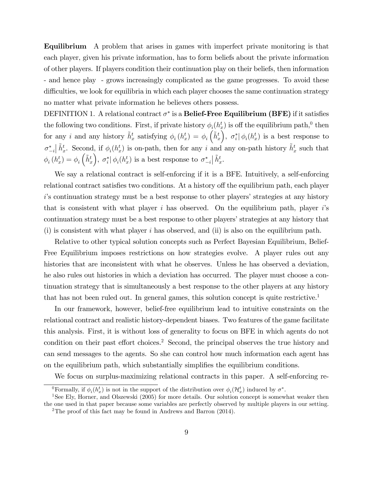Equilibrium A problem that arises in games with imperfect private monitoring is that each player, given his private information, has to form beliefs about the private information of other players. If players condition their continuation play on their beliefs, then information - and hence play - grows increasingly complicated as the game progresses. To avoid these difficulties, we look for equilibria in which each player chooses the same continuation strategy no matter what private information he believes others possess.

DEFINITION 1. A relational contract  $\sigma^*$  is a **Belief-Free Equilibrium (BFE)** if it satisfies the following two conditions. First, if private history  $\phi_i(h_x^t)$  is off the equilibrium path,<sup>0</sup> then for any *i* and any history  $\tilde{h}_x^t$  satisfying  $\phi_i(h_x^t) = \phi_i\left(\tilde{h}_x^t\right)$  $\int$ ,  $\sigma_i^* | \phi_i(h_x^t)$  is a best response to  $\sigma_{-i}^*$  $\left| \tilde{h}^t_x \right|$ . Second, if  $\phi_i(h_x^t)$  is on-path, then for any i and any on-path history  $\tilde{h}^t_x$  such that  $\phi_i(h_x^t) = \phi_i\left(\tilde{h}_x^t\right)$ ),  $\sigma_i^* | \phi_i(h_x^t)$  is a best response to  $\sigma_{-i}^*$  $\big| \, \tilde{h}_x^t.$ 

We say a relational contract is self-enforcing if it is a BFE. Intuitively, a self-enforcing relational contract satisfies two conditions. At a history off the equilibrium path, each player i's continuation strategy must be a best response to other players' strategies at any history that is consistent with what player i has observed. On the equilibrium path, player is continuation strategy must be a best response to other players' strategies at any history that (i) is consistent with what player i has observed, and (ii) is also on the equilibrium path.

Relative to other typical solution concepts such as Perfect Bayesian Equilibrium, Belief-Free Equilibrium imposes restrictions on how strategies evolve. A player rules out any histories that are inconsistent with what he observes. Unless he has observed a deviation, he also rules out histories in which a deviation has occurred. The player must choose a continuation strategy that is simultaneously a best response to the other players at any history that has not been ruled out. In general games, this solution concept is quite restrictive.<sup>1</sup>

In our framework, however, belief-free equilibrium lead to intuitive constraints on the relational contract and realistic history-dependent biases. Two features of the game facilitate this analysis. First, it is without loss of generality to focus on BFE in which agents do not condition on their past effort choices.<sup>2</sup> Second, the principal observes the true history and can send messages to the agents. So she can control how much information each agent has on the equilibrium path, which substantially simplifies the equilibrium conditions.

We focus on surplus-maximizing relational contracts in this paper. A self-enforcing re-

<sup>&</sup>lt;sup>0</sup>Formally, if  $\phi_i(h_x^t)$  is not in the support of the distribution over  $\phi_i(\mathcal{H}_x^t)$  induced by  $\sigma^*$ .

<sup>&</sup>lt;sup>1</sup>See Ely, Horner, and Olszewski (2005) for more details. Our solution concept is somewhat weaker then the one used in that paper because some variables are perfectly observed by multiple players in our setting.

<sup>2</sup>The proof of this fact may be found in Andrews and Barron (2014).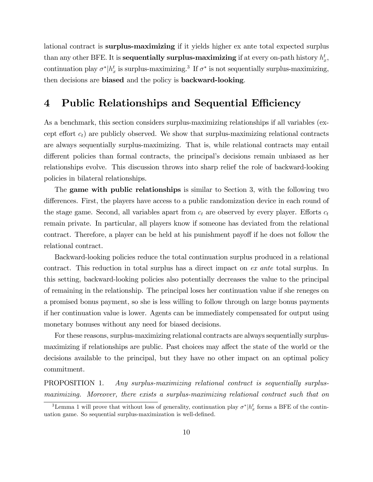lational contract is surplus-maximizing if it yields higher ex ante total expected surplus than any other BFE. It is **sequentially surplus-maximizing** if at every on-path history  $h_x^t$ , continuation play  $\sigma^* | h_x^t$  is surplus-maximizing.<sup>3</sup> If  $\sigma^*$  is not sequentially surplus-maximizing, then decisions are biased and the policy is backward-looking.

# 4 Public Relationships and Sequential Efficiency

As a benchmark, this section considers surplus-maximizing relationships if all variables (except effort  $c_t$ ) are publicly observed. We show that surplus-maximizing relational contracts are always sequentially surplus-maximizing. That is, while relational contracts may entail different policies than formal contracts, the principal's decisions remain unbiased as her relationships evolve. This discussion throws into sharp relief the role of backward-looking policies in bilateral relationships.

The **game with public relationships** is similar to Section 3, with the following two differences. First, the players have access to a public randomization device in each round of the stage game. Second, all variables apart from  $c_t$  are observed by every player. Efforts  $c_t$ remain private. In particular, all players know if someone has deviated from the relational contract. Therefore, a player can be held at his punishment payoff if he does not follow the relational contract.

Backward-looking policies reduce the total continuation surplus produced in a relational contract. This reduction in total surplus has a direct impact on ex ante total surplus. In this setting, backward-looking policies also potentially decreases the value to the principal of remaining in the relationship. The principal loses her continuation value if she reneges on a promised bonus payment, so she is less willing to follow through on large bonus payments if her continuation value is lower. Agents can be immediately compensated for output using monetary bonuses without any need for biased decisions.

For these reasons, surplus-maximizing relational contracts are always sequentially surplusmaximizing if relationships are public. Past choices may affect the state of the world or the decisions available to the principal, but they have no other impact on an optimal policy commitment.

PROPOSITION 1. Any surplus-maximizing relational contract is sequentially surplusmaximizing. Moreover, there exists a surplus-maximizing relational contract such that on

<sup>&</sup>lt;sup>3</sup>Lemma 1 will prove that without loss of generality, continuation play  $\sigma^* | h_x^t$  forms a BFE of the continuation uation game. So sequential surplus-maximization is well-defined.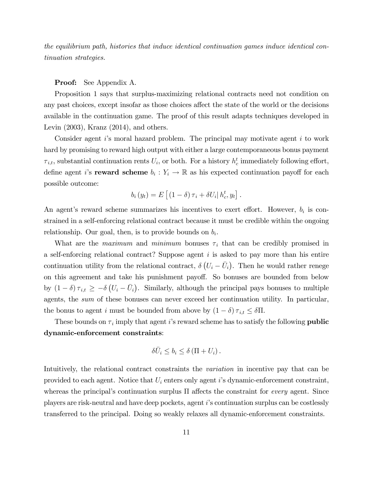the equilibrium path, histories that induce identical continuation games induce identical continuation strategies.

### Proof: See Appendix A.

Proposition 1 says that surplus-maximizing relational contracts need not condition on any past choices, except insofar as those choices affect the state of the world or the decisions available in the continuation game. The proof of this result adapts techniques developed in Levin (2003), Kranz (2014), and others.

Consider agent  $i$ 's moral hazard problem. The principal may motivate agent  $i$  to work hard by promising to reward high output with either a large contemporaneous bonus payment  $\tau_{i,t}$ , substantial continuation rents  $U_i$ , or both. For a history  $h_c^t$  immediately following effort, define agent *i*'s **reward scheme**  $b_i: Y_i \to \mathbb{R}$  as his expected continuation payoff for each possible outcome:

$$
b_i(y_t) = E\left[ \left(1 - \delta\right) \tau_i + \delta U_i \middle| h_c^t, y_t \right].
$$

An agent's reward scheme summarizes his incentives to exert effort. However,  $b_i$  is constrained in a self-enforcing relational contract because it must be credible within the ongoing relationship. Our goal, then, is to provide bounds on  $b_i$ .

What are the *maximum* and *minimum* bonuses  $\tau_i$  that can be credibly promised in a self-enforcing relational contract? Suppose agent  $i$  is asked to pay more than his entire continuation utility from the relational contract,  $\delta(U_i - \bar{U}_i)$ . Then he would rather renege on this agreement and take his punishment payoff. So bonuses are bounded from below by  $(1 - \delta) \tau_{i,t} \geq -\delta (U_i - \bar{U}_i)$ . Similarly, although the principal pays bonuses to multiple agents, the sum of these bonuses can never exceed her continuation utility. In particular, the bonus to agent i must be bounded from above by  $(1 - \delta) \tau_{i,t} \leq \delta \Pi$ .

These bounds on  $\tau_i$  imply that agent i's reward scheme has to satisfy the following **public** dynamic-enforcement constraints:

$$
\delta \bar{U}_i \leq b_i \leq \delta \left( \Pi + U_i \right).
$$

Intuitively, the relational contract constraints the variation in incentive pay that can be provided to each agent. Notice that  $U_i$  enters only agent i's dynamic-enforcement constraint, whereas the principal's continuation surplus  $\Pi$  affects the constraint for *every* agent. Since players are risk-neutral and have deep pockets, agent iís continuation surplus can be costlessly transferred to the principal. Doing so weakly relaxes all dynamic-enforcement constraints.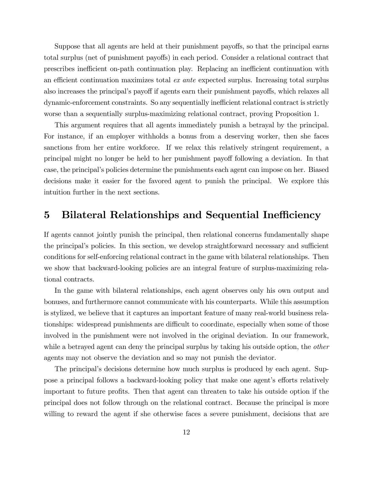Suppose that all agents are held at their punishment payoffs, so that the principal earns total surplus (net of punishment payoffs) in each period. Consider a relational contract that prescribes inefficient on-path continuation play. Replacing an inefficient continuation with an efficient continuation maximizes total  $ex$  ante expected surplus. Increasing total surplus also increases the principal's payoff if agents earn their punishment payoffs, which relaxes all dynamic-enforcement constraints. So any sequentially inefficient relational contract is strictly worse than a sequentially surplus-maximizing relational contract, proving Proposition 1.

This argument requires that all agents immediately punish a betrayal by the principal. For instance, if an employer withholds a bonus from a deserving worker, then she faces sanctions from her entire workforce. If we relax this relatively stringent requirement, a principal might no longer be held to her punishment payoff following a deviation. In that case, the principalís policies determine the punishments each agent can impose on her. Biased decisions make it easier for the favored agent to punish the principal. We explore this intuition further in the next sections.

## 5 Bilateral Relationships and Sequential Inefficiency

If agents cannot jointly punish the principal, then relational concerns fundamentally shape the principal's policies. In this section, we develop straightforward necessary and sufficient conditions for self-enforcing relational contract in the game with bilateral relationships. Then we show that backward-looking policies are an integral feature of surplus-maximizing relational contracts.

In the game with bilateral relationships, each agent observes only his own output and bonuses, and furthermore cannot communicate with his counterparts. While this assumption is stylized, we believe that it captures an important feature of many real-world business relationships: widespread punishments are difficult to coordinate, especially when some of those involved in the punishment were not involved in the original deviation. In our framework, while a betrayed agent can deny the principal surplus by taking his outside option, the *other* agents may not observe the deviation and so may not punish the deviator.

The principalís decisions determine how much surplus is produced by each agent. Suppose a principal follows a backward-looking policy that make one agent's efforts relatively important to future profits. Then that agent can threaten to take his outside option if the principal does not follow through on the relational contract. Because the principal is more willing to reward the agent if she otherwise faces a severe punishment, decisions that are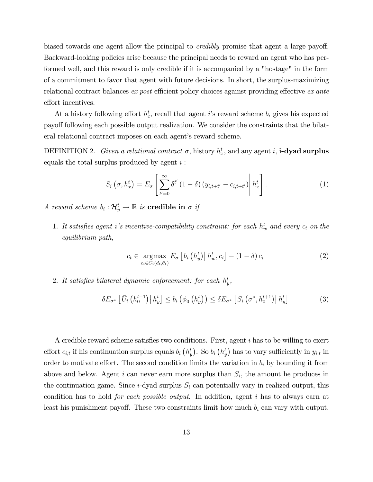biased towards one agent allow the principal to *credibly* promise that agent a large payoff. Backward-looking policies arise because the principal needs to reward an agent who has performed well, and this reward is only credible if it is accompanied by a "hostage" in the form of a commitment to favor that agent with future decisions. In short, the surplus-maximizing relational contract balances ex post efficient policy choices against providing effective ex ante effort incentives.

At a history following effort  $h_c^t$ , recall that agent i's reward scheme  $b_i$  gives his expected payo§ following each possible output realization. We consider the constraints that the bilateral relational contract imposes on each agent's reward scheme.

DEFINITION 2. Given a relational contract  $\sigma$ , history  $h_x^t$ , and any agent i, **i-dyad surplus** equals the total surplus produced by agent  $i$ :

$$
S_i\left(\sigma, h_x^t\right) = E_{\sigma} \left[ \sum_{t'=0}^{\infty} \delta^{t'}\left(1-\delta\right) \left(y_{i,t+t'} - c_{i,t+t'}\right) \middle| h_x^t \right]. \tag{1}
$$

A reward scheme  $b_i: \mathcal{H}_y^t \to \mathbb{R}$  is credible in  $\sigma$  if

1. It satisfies agent i's incentive-compatibility constraint: for each  $h_w^t$  and every  $c_t$  on the equilibrium path,

$$
c_{t} \in \underset{c_{i} \in C_{i}(d_{t}, \theta_{t})}{\operatorname{argmax}} E_{\sigma} \left[ b_{i} \left( h_{y}^{t} \right) \middle| h_{w}^{t}, c_{i} \right] - (1 - \delta) c_{i} \tag{2}
$$

2. It satisfies bilateral dynamic enforcement: for each  $h_y^t$ ,

$$
\delta E_{\sigma^*} \left[ \bar{U}_i \left( h_0^{t+1} \right) \middle| h_y^t \right] \le b_i \left( \phi_0 \left( h_y^t \right) \right) \le \delta E_{\sigma^*} \left[ S_i \left( \sigma^*, h_0^{t+1} \right) \middle| h_y^t \right] \tag{3}
$$

A credible reward scheme satisfies two conditions. First, agent  $i$  has to be willing to exert effort  $c_{i,t}$  if his continuation surplus equals  $b_i(h_y^t)$ . So  $b_i(h_y^t)$  has to vary sufficiently in  $y_{i,t}$  in order to motivate effort. The second condition limits the variation in  $b_i$  by bounding it from above and below. Agent  $i$  can never earn more surplus than  $S_i$ , the amount he produces in the continuation game. Since  $i$ -dyad surplus  $S_i$  can potentially vary in realized output, this condition has to hold for each possible output. In addition, agent i has to always earn at least his punishment payoff. These two constraints limit how much  $b_i$  can vary with output.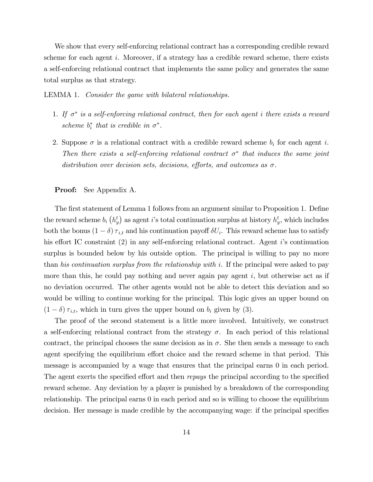We show that every self-enforcing relational contract has a corresponding credible reward scheme for each agent i. Moreover, if a strategy has a credible reward scheme, there exists a self-enforcing relational contract that implements the same policy and generates the same total surplus as that strategy.

LEMMA 1. Consider the game with bilateral relationships.

- 1. If  $\sigma^*$  is a self-enforcing relational contract, then for each agent i there exists a reward scheme  $b_i^*$  that is credible in  $\sigma^*$ .
- 2. Suppose  $\sigma$  is a relational contract with a credible reward scheme  $b_i$  for each agent i. Then there exists a self-enforcing relational contract  $\sigma^*$  that induces the same joint distribution over decision sets, decisions, efforts, and outcomes as  $\sigma$ .

#### Proof: See Appendix A.

The first statement of Lemma 1 follows from an argument similar to Proposition 1. Define the reward scheme  $b_i$   $(h_y^t)$  as agent i's total continuation surplus at history  $h_y^t$ , which includes both the bonus  $(1 - \delta) \tau_{i,t}$  and his continuation payoff  $\delta U_i$ . This reward scheme has to satisfy his effort IC constraint  $(2)$  in any self-enforcing relational contract. Agent is continuation surplus is bounded below by his outside option. The principal is willing to pay no more than his continuation surplus from the relationship with i. If the principal were asked to pay more than this, he could pay nothing and never again pay agent  $i$ , but otherwise act as if no deviation occurred. The other agents would not be able to detect this deviation and so would be willing to continue working for the principal. This logic gives an upper bound on  $(1 - \delta) \tau_{i,t}$ , which in turn gives the upper bound on  $b_i$  given by (3).

The proof of the second statement is a little more involved. Intuitively, we construct a self-enforcing relational contract from the strategy  $\sigma$ . In each period of this relational contract, the principal chooses the same decision as in  $\sigma$ . She then sends a message to each agent specifying the equilibrium effort choice and the reward scheme in that period. This message is accompanied by a wage that ensures that the principal earns 0 in each period. The agent exerts the specified effort and then repays the principal according to the specified reward scheme. Any deviation by a player is punished by a breakdown of the corresponding relationship. The principal earns 0 in each period and so is willing to choose the equilibrium decision. Her message is made credible by the accompanying wage: if the principal specifies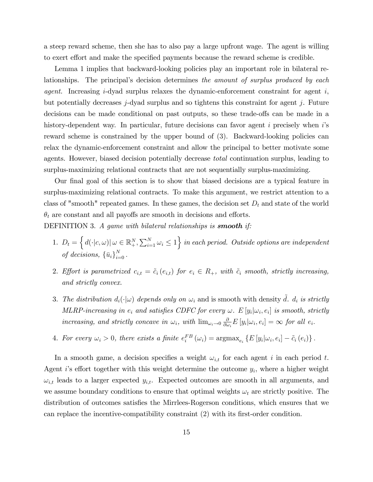a steep reward scheme, then she has to also pay a large upfront wage. The agent is willing to exert effort and make the specified payments because the reward scheme is credible.

Lemma 1 implies that backward-looking policies play an important role in bilateral relationships. The principal's decision determines the amount of surplus produced by each *agent.* Increasing i-dyad surplus relaxes the dynamic-enforcement constraint for agent  $i$ , but potentially decreases  $j$ -dyad surplus and so tightens this constraint for agent  $j$ . Future decisions can be made conditional on past outputs, so these trade-offs can be made in a history-dependent way. In particular, future decisions can favor agent  $i$  precisely when  $i$ 's reward scheme is constrained by the upper bound of  $(3)$ . Backward-looking policies can relax the dynamic-enforcement constraint and allow the principal to better motivate some agents. However, biased decision potentially decrease total continuation surplus, leading to surplus-maximizing relational contracts that are not sequentially surplus-maximizing.

Our final goal of this section is to show that biased decisions are a typical feature in surplus-maximizing relational contracts. To make this argument, we restrict attention to a class of "smooth" repeated games. In these games, the decision set  $D_t$  and state of the world  $\theta_t$  are constant and all payoffs are smooth in decisions and efforts. DEFINITION 3. A game with bilateral relationships is **smooth** if:

- 1.  $D_t = \left\{ d(\cdot | c, \omega) | \omega \in \mathbb{R}_+^N, \sum_{i=1}^N \omega_i \leq 1 \right\}$  in each period. Outside options are independent of decisions,  $\{\bar{u}_i\}_{i=0}^N$ .
- 2. Effort is parametrized  $c_{i,t} = \tilde{c}_i (e_{i,t})$  for  $e_i \in R_+$ , with  $\tilde{c}_i$  smooth, strictly increasing, and strictly convex.
- 3. The distribution  $d_i(\cdot|\omega)$  depends only on  $\omega_i$  and is smooth with density  $\tilde{d}$ .  $d_i$  is strictly  $MLRP\text{-}increasing\ in\ e_i\ and\ satisfies\ CDFC\ for\ every\ \omega\ \ \ E\left[y_i|\omega_i,e_i\right] \ is\ smooth,\ strictly$ increasing, and strictly concave in  $\omega_i$ , with  $\lim_{\omega_i \to 0} \frac{\partial}{\partial \omega_i}$  $\frac{\partial}{\partial \omega_i} E[y_i | \omega_i, e_i] = \infty$  for all  $e_i$ .
- 4. For every  $\omega_i > 0$ , there exists a finite  $e_i^{FB}(\omega_i) = \operatorname{argmax}_{e_i} \{ E[y_i | \omega_i, e_i] \tilde{c}_i(e_i) \}$ .

In a smooth game, a decision specifies a weight  $\omega_{i,t}$  for each agent i in each period t. Agent i's effort together with this weight determine the outcome  $y_i$ , where a higher weight  $\omega_{i,t}$  leads to a larger expected  $y_{i,t}$ . Expected outcomes are smooth in all arguments, and we assume boundary conditions to ensure that optimal weights  $\omega_t$  are strictly positive. The distribution of outcomes satisfies the Mirrlees-Rogerson conditions, which ensures that we can replace the incentive-compatibility constraint (2) with its first-order condition.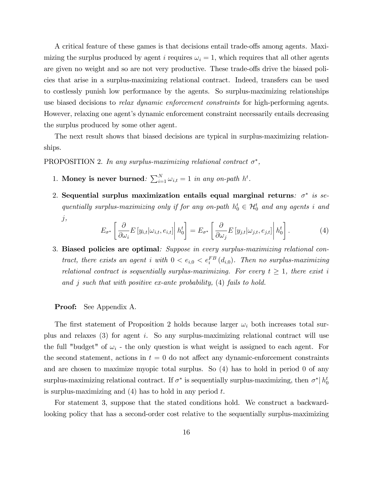A critical feature of these games is that decisions entail trade-offs among agents. Maximizing the surplus produced by agent i requires  $\omega_i = 1$ , which requires that all other agents are given no weight and so are not very productive. These trade-offs drive the biased policies that arise in a surplus-maximizing relational contract. Indeed, transfers can be used to costlessly punish low performance by the agents. So surplus-maximizing relationships use biased decisions to *relax dynamic enforcement constraints* for high-performing agents. However, relaxing one agent's dynamic enforcement constraint necessarily entails decreasing the surplus produced by some other agent.

The next result shows that biased decisions are typical in surplus-maximizing relationships.

PROPOSITION 2. In any surplus-maximizing relational contract  $\sigma^*$ ,

- 1. Money is never burned:  $\sum_{i=1}^{N} \omega_{i,t} = 1$  in any on-path  $h^t$ .
- 2. Sequential surplus maximization entails equal marginal returns:  $\sigma^*$  is sequentially surplus-maximizing only if for any on-path  $h_0^t \in \mathcal{H}_0^t$  and any agents i and j,

$$
E_{\sigma^*} \left[ \frac{\partial}{\partial \omega_i} E \left[ y_{i,t} | \omega_{i,t}, e_{i,t} \right] \middle| h_0^t \right] = E_{\sigma^*} \left[ \frac{\partial}{\partial \omega_j} E \left[ y_{j,t} | \omega_{j,t}, e_{j,t} \right] \middle| h_0^t \right]. \tag{4}
$$

3. Biased policies are optimal: Suppose in every surplus-maximizing relational contract, there exists an agent i with  $0 < e_{i,0} < e_i^{FB}(d_{i,0})$ . Then no surplus-maximizing relational contract is sequentially surplus-maximizing. For every  $t \geq 1$ , there exist i and j such that with positive ex-ante probability, (4) fails to hold.

### Proof: See Appendix A.

The first statement of Proposition 2 holds because larger  $\omega_i$  both increases total surplus and relaxes (3) for agent i. So any surplus-maximizing relational contract will use the full "budget" of  $\omega_i$  - the only question is what weight is assigned to each agent. For the second statement, actions in  $t = 0$  do not affect any dynamic-enforcement constraints and are chosen to maximize myopic total surplus. So (4) has to hold in period 0 of any surplus-maximizing relational contract. If  $\sigma^*$  is sequentially surplus-maximizing, then  $\sigma^* | h_0^t$ is surplus-maximizing and  $(4)$  has to hold in any period t.

For statement 3, suppose that the stated conditions hold. We construct a backwardlooking policy that has a second-order cost relative to the sequentially surplus-maximizing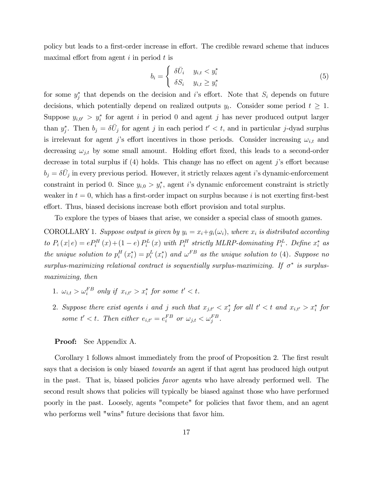policy but leads to a first-order increase in effort. The credible reward scheme that induces maximal effort from agent  $i$  in period  $t$  is

$$
b_i = \begin{cases} \delta \bar{U}_i & y_{i,t} < y_i^* \\ \delta S_i & y_{i,t} \ge y_i^* \end{cases} \tag{5}
$$

for some  $y_j^*$  that depends on the decision and i's effort. Note that  $S_i$  depends on future decisions, which potentially depend on realized outputs  $y_t$ . Consider some period  $t \geq 1$ . Suppose  $y_{i,0'} > y_i^*$  for agent i in period 0 and agent j has never produced output larger than  $y_j^*$ . Then  $b_j = \delta \bar{U}_j$  for agent j in each period  $t' < t$ , and in particular j-dyad surplus is irrelevant for agent j's effort incentives in those periods. Consider increasing  $\omega_{i,t}$  and decreasing  $\omega_{j,t}$  by some small amount. Holding effort fixed, this leads to a second-order decrease in total surplus if  $(4)$  holds. This change has no effect on agent j's effort because  $b_j = \delta \bar{U}_j$  in every previous period. However, it strictly relaxes agent *i*'s dynamic-enforcement constraint in period 0. Since  $y_{i,0} > y_i^*$ , agent i's dynamic enforcement constraint is strictly weaker in  $t = 0$ , which has a first-order impact on surplus because i is not exerting first-best effort. Thus, biased decisions increase both effort provision and total surplus.

To explore the types of biases that arise, we consider a special class of smooth games.

COROLLARY 1. Suppose output is given by  $y_i = x_i + g_i(\omega_i)$ , where  $x_i$  is distributed according to  $P_i(x|e) = eP_i^H(x) + (1-e)P_i^L(x)$  with  $P_i^H$  strictly MLRP-dominating  $P_i^L$ . Define  $x_i^*$  as the unique solution to  $p_i^H(x_i^*) = p_i^L(x_i^*)$  and  $\omega^{FB}$  as the unique solution to (4). Suppose no surplus-maximizing relational contract is sequentially surplus-maximizing. If  $\sigma^*$  is surplusmaximizing, then

- 1.  $\omega_{i,t} > \omega_i^{FB}$  only if  $x_{i,t'} > x_i^*$  for some  $t' < t$ .
- 2. Suppose there exist agents i and j such that  $x_{j,t'} < x_j^*$  for all  $t' < t$  and  $x_{i,t'} > x_i^*$  for some  $t' < t$ . Then either  $e_{i,t'} = e_i^{FB}$  or  $\omega_{j,t} < \omega_j^{FB}$ .

### Proof: See Appendix A.

Corollary 1 follows almost immediately from the proof of Proposition 2. The first result says that a decision is only biased *towards* an agent if that agent has produced high output in the past. That is, biased policies *favor* agents who have already performed well. The second result shows that policies will typically be biased against those who have performed poorly in the past. Loosely, agents "compete" for policies that favor them, and an agent who performs well "wins" future decisions that favor him.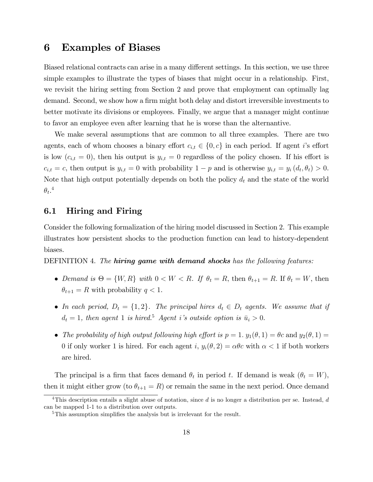## 6 Examples of Biases

Biased relational contracts can arise in a many different settings. In this section, we use three simple examples to illustrate the types of biases that might occur in a relationship. First, we revisit the hiring setting from Section 2 and prove that employment can optimally lag demand. Second, we show how a firm might both delay and distort irreversible investments to better motivate its divisions or employees. Finally, we argue that a manager might continue to favor an employee even after learning that he is worse than the alternantive.

We make several assumptions that are common to all three examples. There are two agents, each of whom chooses a binary effort  $c_{i,t} \in \{0, c\}$  in each period. If agent i's effort is low  $(c_{i,t} = 0)$ , then his output is  $y_{i,t} = 0$  regardless of the policy chosen. If his effort is  $c_{i,t} = c$ , then output is  $y_{i,t} = 0$  with probability  $1 - p$  and is otherwise  $y_{i,t} = y_i (d_t, \theta_t) > 0$ . Note that high output potentially depends on both the policy  $d_t$  and the state of the world  $\theta_t$ .<sup>4</sup>

### 6.1 Hiring and Firing

Consider the following formalization of the hiring model discussed in Section 2. This example illustrates how persistent shocks to the production function can lead to history-dependent biases.

DEFINITION 4. The **hiring game with demand shocks** has the following features:

- Demand is  $\Theta = \{W, R\}$  with  $0 < W < R$ . If  $\theta_t = R$ , then  $\theta_{t+1} = R$ . If  $\theta_t = W$ , then  $\theta_{t+1} = R$  with probability  $q < 1$ .
- In each period,  $D_t = \{1, 2\}$ . The principal hires  $d_t \in D_t$  agents. We assume that if  $d_t = 1$ , then agent 1 is hired.<sup>5</sup> Agent i's outside option is  $\bar{u}_i > 0$ .
- The probability of high output following high effort is  $p = 1$ .  $y_1(\theta, 1) = \theta c$  and  $y_2(\theta, 1) =$ 0 if only worker 1 is hired. For each agent i,  $y_i(\theta, 2) = \alpha \theta c$  with  $\alpha < 1$  if both workers are hired.

The principal is a firm that faces demand  $\theta_t$  in period t. If demand is weak  $(\theta_t = W)$ , then it might either grow (to  $\theta_{t+1} = R$ ) or remain the same in the next period. Once demand

<sup>&</sup>lt;sup>4</sup>This description entails a slight abuse of notation, since  $d$  is no longer a distribution per se. Instead,  $d$ can be mapped 1-1 to a distribution over outputs.

 $5$ This assumption simplifies the analysis but is irrelevant for the result.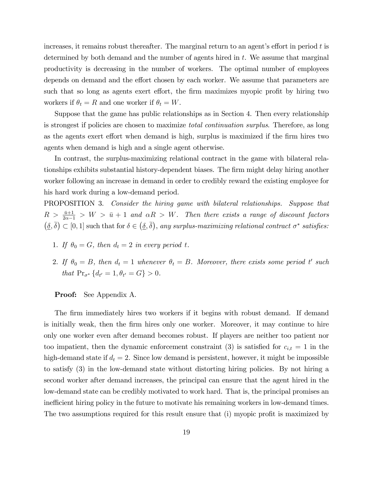increases, it remains robust thereafter. The marginal return to an agent's effort in period  $t$  is determined by both demand and the number of agents hired in  $t$ . We assume that marginal productivity is decreasing in the number of workers. The optimal number of employees depends on demand and the effort chosen by each worker. We assume that parameters are such that so long as agents exert effort, the firm maximizes myopic profit by hiring two workers if  $\theta_t = R$  and one worker if  $\theta_t = W$ .

Suppose that the game has public relationships as in Section 4. Then every relationship is strongest if policies are chosen to maximize total continuation surplus. Therefore, as long as the agents exert effort when demand is high, surplus is maximized if the firm hires two agents when demand is high and a single agent otherwise.

In contrast, the surplus-maximizing relational contract in the game with bilateral relationships exhibits substantial history-dependent biases. The firm might delay hiring another worker following an increase in demand in order to credibly reward the existing employee for his hard work during a low-demand period.

PROPOSITION 3. Consider the hiring game with bilateral relationships. Suppose that  $R > \frac{\bar{u}+1}{2\alpha-1} > W > \bar{u}+1$  and  $\alpha R > W$ . Then there exists a range of discount factors  $(\underline{\delta}, \overline{\delta}) \subset [0, 1]$  such that for  $\delta \in (\underline{\delta}, \overline{\delta})$ , any surplus-maximizing relational contract  $\sigma^*$  satisfies:

- 1. If  $\theta_0 = G$ , then  $d_t = 2$  in every period t.
- 2. If  $\theta_0 = B$ , then  $d_t = 1$  whenever  $\theta_t = B$ . Moreover, there exists some period t' such that  $Pr_{\sigma^*}\{d_{t'}=1, \theta_{t'}=G\} > 0.$

### Proof: See Appendix A.

The firm immediately hires two workers if it begins with robust demand. If demand is initially weak, then the Örm hires only one worker. Moreover, it may continue to hire only one worker even after demand becomes robust. If players are neither too patient nor too impatient, then the dynamic enforcement constraint (3) is satisfied for  $c_{i,t} = 1$  in the high-demand state if  $d_t = 2$ . Since low demand is persistent, however, it might be impossible to satisfy (3) in the low-demand state without distorting hiring policies. By not hiring a second worker after demand increases, the principal can ensure that the agent hired in the low-demand state can be credibly motivated to work hard. That is, the principal promises an inefficient hiring policy in the future to motivate his remaining workers in low-demand times. The two assumptions required for this result ensure that (i) myopic profit is maximized by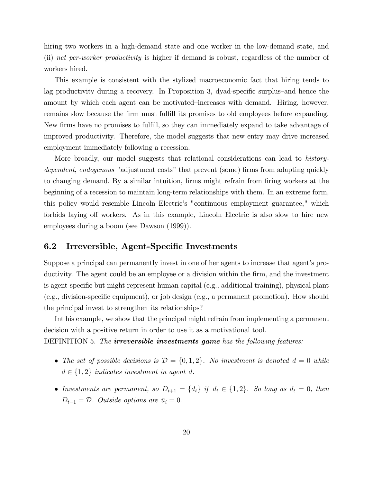hiring two workers in a high-demand state and one worker in the low-demand state, and (ii) net per-worker productivity is higher if demand is robust, regardless of the number of workers hired.

This example is consistent with the stylized macroeconomic fact that hiring tends to lag productivity during a recovery. In Proposition 3, dyad-specific surplus—and hence the amount by which each agent can be motivated–increases with demand. Hiring, however, remains slow because the firm must fulfill its promises to old employees before expanding. New firms have no promises to fulfill, so they can immediately expand to take advantage of improved productivity. Therefore, the model suggests that new entry may drive increased employment immediately following a recession.

More broadly, our model suggests that relational considerations can lead to *history*dependent, endogenous "adjustment costs" that prevent (some) firms from adapting quickly to changing demand. By a similar intuition, firms might refrain from firing workers at the beginning of a recession to maintain long-term relationships with them. In an extreme form, this policy would resemble Lincoln Electric's "continuous employment guarantee," which forbids laying off workers. As in this example, Lincoln Electric is also slow to hire new employees during a boom (see Dawson (1999)).

### 6.2 Irreversible, Agent-Specific Investments

Suppose a principal can permanently invest in one of her agents to increase that agent's productivity. The agent could be an employee or a division within the firm, and the investment is agent-specific but might represent human capital (e.g., additional training), physical plant  $(e.g., division-specific equipment)$ , or job design  $(e.g., a permanent promotion)$ . How should the principal invest to strengthen its relationships?

Int his example, we show that the principal might refrain from implementing a permanent decision with a positive return in order to use it as a motivational tool.

DEFINITION 5. The **irreversible investments game** has the following features:

- The set of possible decisions is  $\mathcal{D} = \{0, 1, 2\}$ . No investment is denoted  $d = 0$  while  $d \in \{1, 2\}$  indicates investment in agent d.
- Investments are permanent, so  $D_{t+1} = \{d_t\}$  if  $d_t \in \{1, 2\}$ . So long as  $d_t = 0$ , then  $D_{t=1} = \mathcal{D}$ . Outside options are  $\bar{u}_i = 0$ .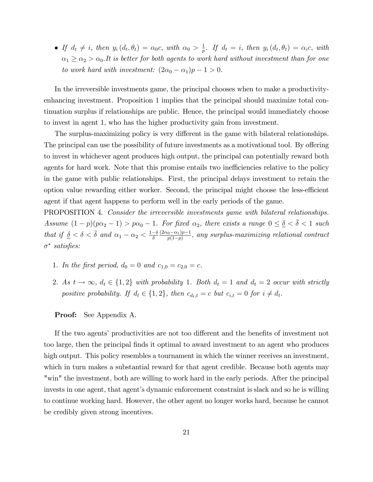• If  $d_t \neq i$ , then  $y_i(d_t, \theta_t) = \alpha_0 c$ , with  $\alpha_0 > \frac{1}{p}$  $\frac{1}{p}$ . If  $d_t = i$ , then  $y_i(d_t, \theta_t) = \alpha_i c$ , with  $\alpha_1 \geq \alpha_2 > \alpha_0$ . It is better for both agents to work hard without investment than for one to work hard with investment:  $(2\alpha_0 - \alpha_1)p - 1 > 0$ .

In the irreversible investments game, the principal chooses when to make a productivityenhancing investment. Proposition 1 implies that the principal should maximize total continuation surplus if relationships are public. Hence, the principal would immediately choose to invest in agent 1, who has the higher productivity gain from investment.

The surplus-maximizing policy is very different in the game with bilateral relationships. The principal can use the possibility of future investments as a motivational tool. By offering to invest in whichever agent produces high output, the principal can potentially reward both agents for hard work. Note that this promise entails two inefficiencies relative to the policy in the game with public relationships. First, the principal delays investment to retain the option value rewarding either worker. Second, the principal might choose the less-efficient agent if that agent happens to perform well in the early periods of the game.

PROPOSITION 4. Consider the irreversible investments game with bilateral relationships. Assume  $(1-p)(p\alpha_2 - 1) > p\alpha_0 - 1$ . For fixed  $\alpha_2$ , there exists a range  $0 \le \underline{\delta} < \overline{\delta} < 1$  such that if  $\delta < \delta < \bar{\delta}$  and  $\alpha_1 - \alpha_2 < \frac{1-\delta}{\delta} \frac{(2\alpha_0 - \alpha_1)p - 1}{p(1-p)}$  $\frac{p_0 - \alpha_1 p - 1}{p(1-p)}$ , any surplus-maximizing relational contract  $\sigma^*$  satisfies:

- 1. In the first period,  $d_0 = 0$  and  $c_{1,0} = c_{2,0} = c$ .
- 2. As  $t \to \infty$ ,  $d_t \in \{1, 2\}$  with probability 1. Both  $d_t = 1$  and  $d_t = 2$  occur with strictly positive probability. If  $d_t \in \{1, 2\}$ , then  $c_{d_t,t} = c$  but  $c_{i,t} = 0$  for  $i \neq d_t$ .

Proof: See Appendix A.

If the two agents' productivities are not too different and the benefits of investment not too large, then the principal Önds it optimal to award investment to an agent who produces high output. This policy resembles a tournament in which the winner receives an investment, which in turn makes a substantial reward for that agent credible. Because both agents may "win" the investment, both are willing to work hard in the early periods. After the principal invests in one agent, that agent's dynamic enforcement constraint is slack and so he is willing to continue working hard. However, the other agent no longer works hard, because he cannot be credibly given strong incentives.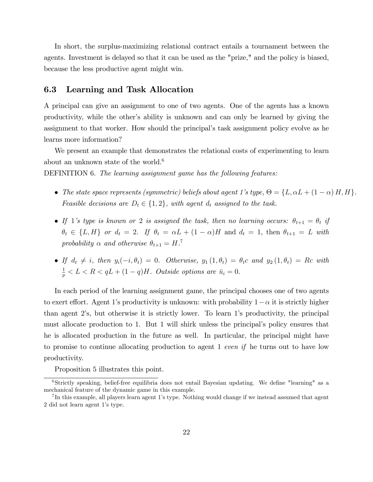In short, the surplus-maximizing relational contract entails a tournament between the agents. Investment is delayed so that it can be used as the "prize," and the policy is biased, because the less productive agent might win.

### 6.3 Learning and Task Allocation

A principal can give an assignment to one of two agents. One of the agents has a known productivity, while the otherís ability is unknown and can only be learned by giving the assignment to that worker. How should the principal's task assignment policy evolve as he learns more information?

We present an example that demonstrates the relational costs of experimenting to learn about an unknown state of the world.<sup>6</sup>

DEFINITION 6. The learning assignment game has the following features:

- The state space represents (symmetric) beliefs about agent 1's type,  $\Theta = \{L, \alpha L + (1 \alpha) H, H\}$ . Feasible decisions are  $D_t \in \{1, 2\}$ , with agent  $d_t$  assigned to the task.
- If 1's type is known or 2 is assigned the task, then no learning occurs:  $\theta_{t+1} = \theta_t$  if  $\theta_t \in \{L, H\}$  or  $d_t = 2$ . If  $\theta_t = \alpha L + (1 - \alpha)H$  and  $d_t = 1$ , then  $\theta_{t+1} = L$  with probability  $\alpha$  and otherwise  $\theta_{t+1} = H$ .<sup>7</sup>
- If  $d_t \neq i$ , then  $y_i(-i, \theta_t) = 0$ . Otherwise,  $y_1(1, \theta_t) = \theta_t c$  and  $y_2(1, \theta_t) = Rc$  with  $\frac{1}{p} < L < R < qL + (1 - q)H$ . Outside options are  $\bar{u}_i = 0$ .

In each period of the learning assignment game, the principal chooses one of two agents to exert effort. Agent 1's productivity is unknown: with probability  $1 - \alpha$  it is strictly higher than agent 2ís, but otherwise it is strictly lower. To learn 1ís productivity, the principal must allocate production to 1. But 1 will shirk unless the principalís policy ensures that he is allocated production in the future as well. In particular, the principal might have to promise to continue allocating production to agent 1 even if he turns out to have low productivity.

Proposition 5 illustrates this point.

 $6$ Strictly speaking, belief-free equilibria does not entail Bayesian updating. We define "learning" as a mechanical feature of the dynamic game in this example.

<sup>&</sup>lt;sup>7</sup>In this example, all players learn agent 1's type. Nothing would change if we instead assumed that agent 2 did not learn agent 1ís type.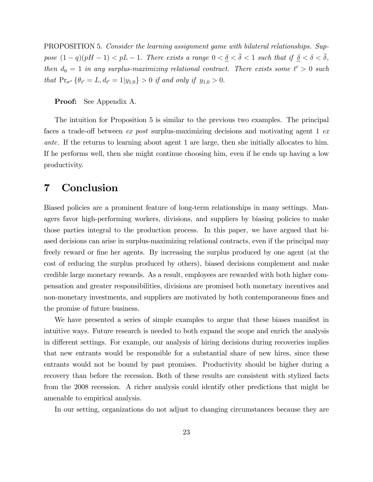PROPOSITION 5. Consider the learning assignment game with bilateral relationships. Suppose  $(1 - q)(pH - 1) < pL - 1$ . There exists a range  $0 < \underline{\delta} < \overline{\delta} < 1$  such that if  $\underline{\delta} < \delta < \overline{\delta}$ , then  $d_0 = 1$  in any surplus-maximizing relational contract. There exists some  $t' > 0$  such that  $Pr_{\sigma^*} \{ \theta_{t'} = L, d_{t'} = 1 | y_{1,0} \} > 0$  if and only if  $y_{1,0} > 0$ .

### Proof: See Appendix A.

The intuition for Proposition 5 is similar to the previous two examples. The principal faces a trade-off between ex post surplus-maximizing decisions and motivating agent 1 exante. If the returns to learning about agent 1 are large, then she initially allocates to him. If he performs well, then she might continue choosing him, even if he ends up having a low productivity.

# 7 Conclusion

Biased policies are a prominent feature of long-term relationships in many settings. Managers favor high-performing workers, divisions, and suppliers by biasing policies to make those parties integral to the production process. In this paper, we have argued that biased decisions can arise in surplus-maximizing relational contracts, even if the principal may freely reward or fine her agents. By increasing the surplus produced by one agent (at the cost of reducing the surplus produced by others), biased decisions complement and make credible large monetary rewards. As a result, employees are rewarded with both higher compensation and greater responsibilities, divisions are promised both monetary incentives and non-monetary investments, and suppliers are motivated by both contemporaneous fines and the promise of future business.

We have presented a series of simple examples to argue that these biases manifest in intuitive ways. Future research is needed to both expand the scope and enrich the analysis in different settings. For example, our analysis of hiring decisions during recoveries implies that new entrants would be responsible for a substantial share of new hires, since these entrants would not be bound by past promises. Productivity should be higher during a recovery than before the recession. Both of these results are consistent with stylized facts from the 2008 recession. A richer analysis could identify other predictions that might be amenable to empirical analysis.

In our setting, organizations do not adjust to changing circumstances because they are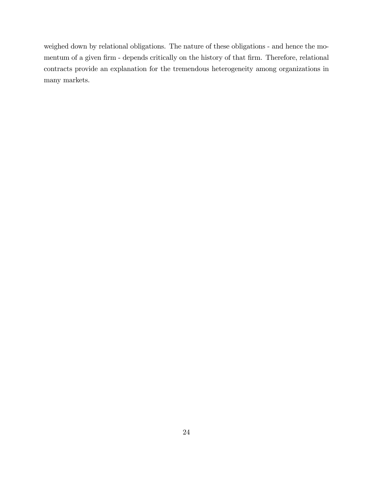weighed down by relational obligations. The nature of these obligations - and hence the momentum of a given firm - depends critically on the history of that firm. Therefore, relational contracts provide an explanation for the tremendous heterogeneity among organizations in many markets.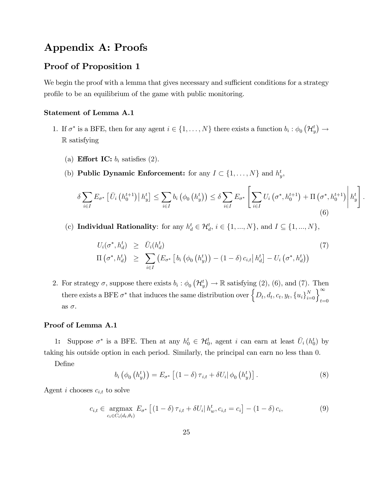# Appendix A: Proofs

### Proof of Proposition 1

We begin the proof with a lemma that gives necessary and sufficient conditions for a strategy profile to be an equilibrium of the game with public monitoring.

### Statement of Lemma A.1

- 1. If  $\sigma^*$  is a BFE, then for any agent  $i \in \{1, ..., N\}$  there exists a function  $b_i : \phi_0(\mathcal{H}_y^t) \to$ R satisfying
	- (a) **Effort IC:**  $b_i$  satisfies (2).
	- (b) **Public Dynamic Enforcement:** for any  $I \subset \{1, ..., N\}$  and  $h_y^t$ ,

$$
\delta \sum_{i \in I} E_{\sigma^*} \left[ \bar{U}_i \left( h_0^{t+1} \right) \middle| h_y^t \right] \leq \sum_{i \in I} b_i \left( \phi_0 \left( h_y^t \right) \right) \leq \delta \sum_{i \in I} E_{\sigma^*} \left[ \sum_{i \in I} U_i \left( \sigma^*, h_0^{t+1} \right) + \Pi \left( \sigma^*, h_0^{t+1} \right) \middle| h_y^t \right].
$$
\n(6)

(c) Individual Rationality: for any  $h_d^t \in \mathcal{H}_d^t$ ,  $i \in \{1, ..., N\}$ , and  $I \subseteq \{1, ..., N\}$ ,

$$
U_i(\sigma^*, h_d^t) \geq \bar{U}_i(h_d^t)
$$
  
\n
$$
\Pi(\sigma^*, h_d^t) \geq \sum_{i \in I} \left( E_{\sigma^*} \left[ b_i \left( \phi_0 \left( h_y^t \right) \right) - (1 - \delta) c_{i,t} \right| h_d^t \right] - U_i \left( \sigma^*, h_d^t \right) \right)
$$
\n
$$
(7)
$$

2. For strategy  $\sigma$ , suppose there exists  $b_i : \phi_0(\mathcal{H}_y^t) \to \mathbb{R}$  satisfying (2), (6), and (7). Then there exists a BFE  $\sigma^*$  that induces the same distribution over  $\left\{D_t, d_t, c_t, y_t, \{u_i\}_{i=0}^N\right\}_{t=0}^\infty$ as  $\sigma$ .

### Proof of Lemma A.1

1: Suppose  $\sigma^*$  is a BFE. Then at any  $h_0^t \in H_0^t$ , agent i can earn at least  $\bar{U}_i(h_0^t)$  by taking his outside option in each period. Similarly, the principal can earn no less than 0.

Define

$$
b_i\left(\phi_0\left(h_y^t\right)\right) = E_{\sigma^*}\left[\left(1-\delta\right)\tau_{i,t} + \delta U_i\middle|\phi_0\left(h_y^t\right)\right].\tag{8}
$$

Agent *i* chooses  $c_{i,t}$  to solve

$$
c_{i,t} \in \underset{c_i \in C_i(d_t, \theta_t)}{\text{argmax}} E_{\sigma^*} \left[ (1 - \delta) \tau_{i,t} + \delta U_i \middle| h_w^t, c_{i,t} = c_i \right] - (1 - \delta) c_i,
$$
\n(9)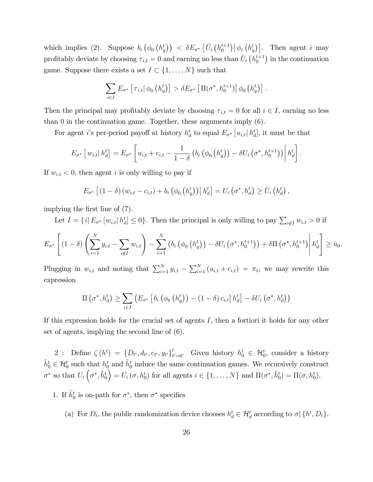which implies (2). Suppose  $b_i(\phi_0(h_y^t)) < \delta E_{\sigma^*}[\bar{U}_i(h_0^{t+1}) | \phi_i(h_y^t)]$ . Then agent i may profitably deviate by choosing  $\tau_{i,t} = 0$  and earning no less than  $\bar{U}_i \left( h_0^{t+1} \right)$  in the continuation game. Suppose there exists a set  $I \subset \{1, \ldots, N\}$  such that

$$
\sum_{i\in I} E_{\sigma^*} \left[ \tau_{i,t} \middle| \phi_0 \left( h_y^t \right) \right] > \delta E_{\sigma^*} \left[ \Pi(\sigma^*, h_0^{t+1}) \middle| \phi_0 \left( h_y^t \right) \right].
$$

Then the principal may profitably deviate by choosing  $\tau_{i,t} = 0$  for all  $i \in I$ , earning no less than 0 in the continuation game. Together, these arguments imply (6).

For agent *i*'s per-period payoff at history  $h_d^t$  to equal  $E_{\sigma^*}[u_{i,t} | h_d^t]$ , it must be that

$$
E_{\sigma^*}\left[w_{i,t}\big| h_d^t\right] = E_{\sigma^*}\left[u_{i,t} + c_{i,t} - \frac{1}{1-\delta}\left(b_i\left(\phi_0\left(h_y^t\right)\right) - \delta U_i\left(\sigma^*, h_0^{t+1}\right)\right)\middle| h_d^t\right].
$$

If  $w_{i,t} < 0$ , then agent i is only willing to pay if

$$
E_{\sigma^*}\left[\left(1-\delta\right)\left(w_{i,t}-c_{i,t}\right)+b_i\left(\phi_0\left(h_y^t\right)\right)\middle| h_d^t\right]=U_i\left(\sigma^*,h_d^t\right)\geq \bar{U}_i\left(h_d^t\right),
$$

implying the first line of  $(7)$ .

Let  $I = \{i | E_{\sigma^*} [w_{i,t} | h_d^t] \leq 0\}$ . Then the principal is only willing to pay  $\sum_{i \notin I} w_{i,t} > 0$  if

$$
E_{\sigma^*}\left[\left(1-\delta\right)\left(\sum_{i=1}^Ny_{i,t}-\sum_{i\not\in I}w_{i,t}\right)-\sum_{i=1}^N\left(b_i\left(\phi_0\left(h_y^t\right)\right)-\delta U_i\left(\sigma^*,h_0^{t+1}\right)\right)+\delta\Pi\left(\sigma^*,h_0^{t+1}\right)\middle|\,h_d^t\right]\geq\bar{u}_0.
$$

Plugging in  $w_{i,t}$  and noting that  $\sum_{i=1}^{N} y_{i,t} - \sum_{i=1}^{N} (u_{i,t} + c_{i,t}) = \pi_t$ , we may rewrite this expression

$$
\Pi\left(\sigma^*, h_d^t\right) \ge \sum_{i \in I} \left( E_{\sigma^*} \left[ b_i \left( \phi_0 \left( h_y^t \right) \right) - (1 - \delta) c_{i,t} \right| h_d^t \right] - \delta U_i \left( \sigma^*, h_d^t \right) \right)
$$

If this expression holds for the crucial set of agents  $I$ , then a fortiori it holds for any other set of agents, implying the second line of (6).

2 : Define  $\zeta(h^t) = \{D_{t'}, d_{t'}, c_{t'}, y_{t'}\}_{t}^t$  $t_{t'=0}$ . Given history  $h_0^t \in \mathcal{H}_0^t$ , consider a history  $\tilde{h}_0^t \in \mathcal{H}_0^t$  such that  $h_0^t$  and  $\tilde{h}_0^t$  induce the same continuation games. We recursively construct  $\sigma^*$  so that  $U_i\left(\sigma^*, \tilde{h}_0^t\right)$  $\left( U_i(\sigma, h_0^t) \text{ for all agents } i \in \{1, \ldots, N\} \text{ and } \Pi(\sigma^*, \tilde{h}_0^t) = \Pi(\sigma, h_0^t).$ 

- 1. If  $\tilde{h}_0^t$  is on-path for  $\sigma^*$ , then  $\sigma^*$  specifies
	- (a) For  $D_t$ , the public randomization device chooses  $h_d^t \in \mathcal{H}_d^t$  according to  $\sigma | \{h^t, D_t\}$ .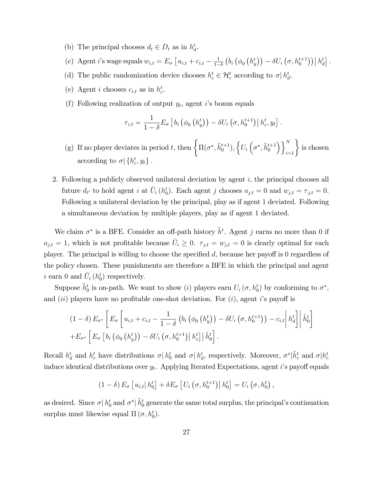- (b) The principal chooses  $d_t \in D_t$  as in  $h_d^t$ .
- (c) Agent *i*'s wage equals  $w_{i,t} = E_{\sigma} \left[ u_{i,t} + c_{i,t} \frac{1}{1 \sigma^2} \right]$  $1-\delta$  $\left(b_i\left(\phi_0\left(h_y^t\right)\right)-\delta U_i\left(\sigma,h_0^{t+1}\right)\right)\middle|h_d^t\right].$
- (d) The public randomization device chooses  $h_c^t \in \mathcal{H}_c^t$  according to  $\sigma | h_d^t$ .
- (e) Agent *i* chooses  $c_{i,t}$  as in  $h_c^t$ .
- (f) Following realization of output  $y_t$ , agent i's bonus equals

$$
\tau_{i,t} = \frac{1}{1-\delta} E_{\sigma} \left[ b_i \left( \phi_0 \left( h_y^t \right) \right) - \delta U_i \left( \sigma, h_0^{t+1} \right) \middle| h_c^t, y_t \right].
$$

- (g) If no player deviates in period t, then  $\left\{\Pi(\sigma^*, \tilde{h}_0^{t+1}), \left\{U_i\left(\sigma^*, \tilde{h}_0^{t+1}\right)\right\}\right\}$  $\Big)\Big\}^{N}_{i=1}\Big\}$  is chosen according to  $\sigma$  { $h_c^t, y_t$ }.
- 2. Following a publicly observed unilateral deviation by agent  $i$ , the principal chooses all future  $d_{t'}$  to hold agent i at  $\overline{U}_i(h_0^t)$ . Each agent j chooses  $a_{j,t} = 0$  and  $w_{j,t} = \tau_{j,t} = 0$ . Following a unilateral deviation by the principal, play as if agent 1 deviated. Following a simultaneous deviation by multiple players, play as if agent 1 deviated.

We claim  $\sigma^*$  is a BFE. Consider an off-path history  $\tilde{h}^t$ . Agent j earns no more than 0 if  $a_{j,t} = 1$ , which is not profitable because  $\bar{U}_i \geq 0$ .  $\tau_{j,t} = w_{j,t} = 0$  is clearly optimal for each player. The principal is willing to choose the specified  $d$ , because her payoff is 0 regardless of the policy chosen. These punishments are therefore a BFE in which the principal and agent i earn 0 and  $\bar{U}_i(h_0^t)$  respectively.

Suppose  $\tilde{h}_0^t$  is on-path. We want to show (*i*) players earn  $U_i(\sigma, h_0^t)$  by conforming to  $\sigma^*$ , and  $(ii)$  players have no profitable one-shot deviation. For  $(i)$ , agent is payoff is

$$
(1 - \delta) E_{\sigma^*} \left[ E_{\sigma} \left[ u_{i,t} + c_{i,t} - \frac{1}{1 - \delta} \left( b_i \left( \phi_0 \left( h_y^t \right) \right) - \delta U_i \left( \sigma, h_0^{t+1} \right) \right) - c_{i,t} \right| h_d^t \right] \Big| \tilde{h}_0^t \right] + E_{\sigma^*} \left[ E_{\sigma} \left[ b_i \left( \phi_0 \left( h_y^t \right) \right) - \delta U_i \left( \sigma, h_0^{t+1} \right) \right] h_c^t \right] \Big| \tilde{h}_0^t \right].
$$

Recall  $h_d^t$  and  $h_c^t$  have distributions  $\sigma | h_d^t$  and  $\sigma | h_d^t$ , respectively. Moreover,  $\sigma^* | \tilde{h}_c^t$  and  $\sigma | h_c^t$ induce identical distributions over  $y_t$ . Applying Iterated Expectations, agent *i*'s payoff equals

$$
(1 - \delta) E_{\sigma} \left[ u_{i,t} | h_0^t \right] + \delta E_{\sigma} \left[ U_i \left( \sigma, h_0^{t+1} \right) \middle| h_0^t \right] = U_i \left( \sigma, h_0^t \right),
$$

as desired. Since  $\sigma | h_0^t$  and  $\sigma^* | \tilde{h}_0^t$  generate the same total surplus, the principal's continuation surplus must likewise equal  $\Pi(\sigma, h_0^t)$ .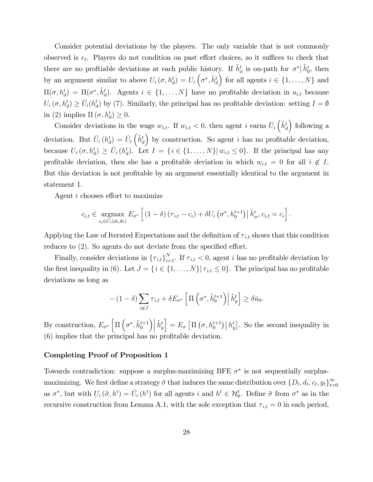Consider potential deviations by the players. The only variable that is not commonly observed is  $e_t$ . Players do not condition on past effort choices, so it suffices to check that there are no proftiable deviations at each public history. If  $\tilde{h}^t_d$  is on-path for  $\sigma^*$   $|\tilde{h}^t_0$ , then by an argument similar to above  $U_i(\sigma, h_d^t) = U_i \left(\sigma^*, \tilde{h}_d^t\right)$ for all agents  $i \in \{1, \ldots, N\}$  and  $\Pi(\sigma, h_d^t) = \Pi(\sigma^*, \tilde{h}_d^t)$ . Agents  $i \in \{1, ..., N\}$  have no profitable deviation in  $a_{i,t}$  because  $U_i(\sigma, h_d^t) \ge \bar{U}_i(h_d^t)$  by (7). Similarly, the principal has no profitable deviation: setting  $I = \emptyset$ in (2) implies  $\Pi(\sigma, h_d^t) \geq 0$ .

Consider deviations in the wage  $w_{i,t}$ . If  $w_{i,t} < 0$ , then agent i earns  $\bar{U}_i \left( \tilde{h}_d^t \right)$  following a deviation. But  $\bar{U}_i(h_d^t) = \bar{U}_i \left( \tilde{h}_d^t \right)$ by construction. So agent  $i$  has no profitable deviation, because  $U_i(\sigma, h_d^t) \ge \bar{U}_i(h_d^t)$ . Let  $I = \{i \in \{1, ..., N\} | w_{i,t} \le 0\}$ . If the principal has any profitable deviation, then she has a profitable deviation in which  $w_{i,t} = 0$  for all  $i \notin I$ . But this deviation is not profitable by an argument essentially identical to the argument in statement 1.

Agent  $i$  chooses effort to maximize

$$
c_{i,t} \in \underset{c_i \in C_i(d_t,\theta_t)}{\operatorname{argmax}} E_{\sigma^*} \left[ \left(1-\delta\right) \left(\tau_{i,t} - c_i\right) + \delta U_i \left(\sigma^*, h_0^{t+1}\right) \middle| \tilde{h}_w^t, c_{i,t} = c_i \right].
$$

Applying the Law of Iterated Expectations and the definition of  $\tau_{i,t}$  shows that this condition reduces to  $(2)$ . So agents do not deviate from the specified effort.

Finally, consider deviations in  $\{\tau_{i,t}\}_{i=1}^N$ . If  $\tau_{i,t} < 0$ , agent *i* has no profitable deviation by the first inequality in (6). Let  $J = \{i \in \{1, \ldots, N\} | \tau_{i,t} \leq 0\}$ . The principal has no profitable deviations as long as

$$
-(1-\delta)\sum_{i \notin J} \tau_{i,t} + \delta E_{\sigma^*} \left[ \Pi \left( \sigma^*, \tilde{h}_0^{t+1} \right) \middle| \tilde{h}_y^t \right] \ge \delta \bar{u}_0.
$$

By construction,  $E_{\sigma^*} \left[ \Pi \left( \sigma^*, \tilde{h}_0^{t+1} \right) \right]$  $\Big)\Big|\, \widetilde h_y^t$  $\Big] = E_{\sigma} \left[ \Pi \left( \sigma, h_0^{t+1} \right) \middle| h_y^t \right]$ . So the second inequality in (6) implies that the principal has no profitable deviation.

#### Completing Proof of Proposition 1

Towards contradiction: suppose a surplus-maximizing BFE  $\sigma^*$  is not sequentially surplusmaximizing. We first define a strategy  $\tilde{\sigma}$  that induces the same distribution over  $\{D_t, d_t, c_t, y_t\}_{t=0}^{\infty}$ as  $\sigma^*$ , but with  $U_i(\tilde{\sigma}, h^t) = \bar{U}_i(h^t)$  for all agents i and  $h^t \in \mathcal{H}_0^t$ . Define  $\tilde{\sigma}$  from  $\sigma^*$  as in the recursive construction from Lemma A.1, with the sole exception that  $\tau_{i,t} = 0$  in each period,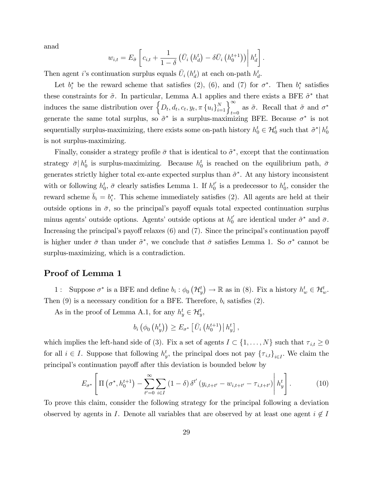anad

$$
w_{i,t} = E_{\tilde{\sigma}} \left[ c_{i,t} + \frac{1}{1-\delta} \left( \bar{U}_i \left( h_d^t \right) - \delta \bar{U}_i \left( h_0^{t+1} \right) \right) \middle| h_d^t \right].
$$

Then agent *i*'s continuation surplus equals  $\bar{U}_i(h_d^t)$  at each on-path  $h_d^t$ .

Let  $b_i^*$  be the reward scheme that satisfies (2), (6), and (7) for  $\sigma^*$ . Then  $b_i^*$  satisfies these constraints for  $\tilde{\sigma}$ . In particular, Lemma A.1 applies and there exists a BFE  $\tilde{\sigma}^*$  that induces the same distribution over  $\left\{D_t, d_t, c_t, y_t, \pi \left\{u_i\right\}_{i=1}^N\right\}_{t=0}^{\infty}$  as  $\tilde{\sigma}$ . Recall that  $\tilde{\sigma}$  and  $\sigma^*$ generate the same total surplus, so  $\tilde{\sigma}^*$  is a surplus-maximizing BFE. Because  $\sigma^*$  is not sequentially surplus-maximizing, there exists some on-path history  $h_0^t \in \mathcal{H}_0^t$  such that  $\tilde{\sigma}^* | h_0^t$ is not surplus-maximizing.

Finally, consider a strategy profile  $\bar{\sigma}$  that is identical to  $\tilde{\sigma}^*$ , except that the continuation strategy  $\bar{\sigma} | h_0^t$  is surplus-maximizing. Because  $h_0^t$  is reached on the equilibrium path,  $\bar{\sigma}$ generates strictly higher total ex-ante expected surplus than  $\tilde{\sigma}^*$ . At any history inconsistent with or following  $h_0^t$ ,  $\bar{\sigma}$  clearly satisfies Lemma 1. If  $h_0^{t'}$  is a predecessor to  $h_0^t$ , consider the reward scheme  $\bar{b}_i = b_i^*$ . This scheme immediately satisfies (2). All agents are held at their outside options in  $\bar{\sigma}$ , so the principal's payoff equals total expected continuation surplus minus agents' outside options. Agents' outside options at  $h_0^{t'}$  are identical under  $\tilde{\sigma}^*$  and  $\bar{\sigma}$ . Increasing the principal's payoff relaxes  $(6)$  and  $(7)$ . Since the principal's continuation payoff is higher under  $\bar{\sigma}$  than under  $\tilde{\sigma}^*$ , we conclude that  $\bar{\sigma}$  satisfies Lemma 1. So  $\sigma^*$  cannot be surplus-maximizing, which is a contradiction.

### Proof of Lemma 1

1: Suppose  $\sigma^*$  is a BFE and define  $b_i : \phi_0(\mathcal{H}_y^t) \to \mathbb{R}$  as in (8). Fix a history  $h_w^t \in \mathcal{H}_w^t$ . Then  $(9)$  is a necessary condition for a BFE. Therefore,  $b_i$  satisfies  $(2)$ .

As in the proof of Lemma A.1, for any  $h_y^t \in \mathcal{H}_y^t$ ,

$$
b_i\left(\phi_0\left(h_y^t\right)\right) \geq E_{\sigma^*}\left[\bar{U}_i\left(h_0^{t+1}\right)\middle| h_y^t\right],
$$

which implies the left-hand side of (3). Fix a set of agents  $I \subset \{1, \ldots, N\}$  such that  $\tau_{i,t} \geq 0$ for all  $i \in I$ . Suppose that following  $h_y^t$ , the principal does not pay  ${\lbrace \tau_{i,t} \rbrace}_{i \in I}$ . We claim the principal's continuation payoff after this deviation is bounded below by

$$
E_{\sigma^*} \left[ \Pi \left( \sigma^*, h_0^{t+1} \right) - \sum_{t'=0}^{\infty} \sum_{i \in I} (1 - \delta) \, \delta^{t'} \left( y_{i,t+t'} - w_{i,t+t'} - \tau_{i,t+t'} \right) \middle| h_y^t \right]. \tag{10}
$$

To prove this claim, consider the following strategy for the principal following a deviation observed by agents in I. Denote all variables that are observed by at least one agent  $i \notin I$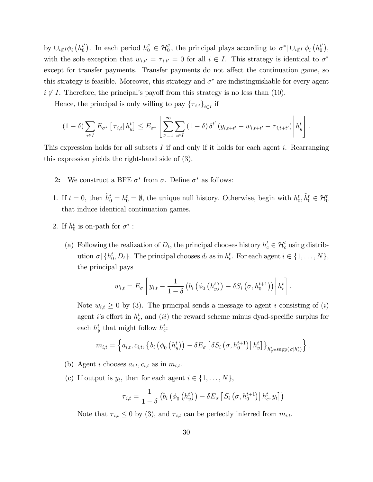by  $\cup_{i \notin I} \phi_i(h_0^{t'})$ . In each period  $h_0^{t'} \in \mathcal{H}_0^{t'}$ , the principal plays according to  $\sigma^* \mid \cup_{i \notin I} \phi_i(h_0^{t'})$ , with the sole exception that  $w_{i,t'} = \tau_{i,t'} = 0$  for all  $i \in I$ . This strategy is identical to  $\sigma^*$ except for transfer payments. Transfer payments do not affect the continuation game, so this strategy is feasible. Moreover, this strategy and  $\sigma^*$  are indistinguishable for every agent  $i \notin I$ . Therefore, the principal's payoff from this strategy is no less than (10).

Hence, the principal is only willing to pay  $\{\tau_{i,t}\}_{i\in I}$  if

$$
(1 - \delta) \sum_{i \in I} E_{\sigma^*} \left[ \tau_{i,t} | h_y^t \right] \leq E_{\sigma^*} \left[ \sum_{t'=1}^{\infty} \sum_{i \in I} (1 - \delta) \, \delta^{t'} \left( y_{i,t+t'} - w_{i,t+t'} - \tau_{i,t+t'} \right) \middle| h_y^t \right].
$$

This expression holds for all subsets I if and only if it holds for each agent i. Rearranging this expression yields the right-hand side of (3).

- 2: We construct a BFE  $\sigma^*$  from  $\sigma$ . Define  $\sigma^*$  as follows:
- 1. If  $t = 0$ , then  $\tilde{h}_0^t = h_0^t = \emptyset$ , the unique null history. Otherwise, begin with  $h_0^t, \tilde{h}_0^t \in \mathcal{H}_0^t$ that induce identical continuation games.
- 2. If  $\tilde{h}^t_0$  is on-path for  $\sigma^*$  :
	- (a) Following the realization of  $D_t$ , the principal chooses history  $h_c^t \in \mathcal{H}_c^t$  using distribution  $\sigma | \{h_0^t, D_t\}$ . The principal chooses  $d_t$  as in  $h_c^t$ . For each agent  $i \in \{1, ..., N\}$ , the principal pays

$$
w_{i,t} = E_{\sigma} \left[ y_{i,t} - \frac{1}{1-\delta} \left( b_i \left( \phi_0 \left( h_y^t \right) \right) - \delta S_i \left( \sigma, h_0^{t+1} \right) \right) \middle| h_c^t \right].
$$

Note  $w_{i,t} \geq 0$  by (3). The principal sends a message to agent i consisting of (i) agent *i*'s effort in  $h_c^t$ , and *(ii)* the reward scheme minus dyad-specific surplus for each  $h_y^t$  that might follow  $h_c^t$ :

$$
m_{i,t} = \left\{ a_{i,t}, c_{i,t}, \left\{ b_i \left( \phi_0 \left( h_y^t \right) \right) - \delta E_{\sigma} \left[ \delta S_i \left( \sigma, h_0^{t+1} \right) \middle| h_y^t \right] \right\}_{h_y^t \in \text{supp}(\sigma | h_c^t)} \right\}.
$$

- (b) Agent *i* chooses  $a_{i,t}$ ,  $c_{i,t}$  as in  $m_{i,t}$ .
- (c) If output is  $y_t$ , then for each agent  $i \in \{1, \ldots, N\}$ ,

$$
\tau_{i,t} = \frac{1}{1-\delta} \left( b_i \left( \phi_0 \left( h_y^t \right) \right) - \delta E_{\sigma} \left[ S_i \left( \sigma, h_0^{t+1} \right) \middle| h_c^t, y_t \right] \right)
$$

Note that  $\tau_{i,t} \leq 0$  by (3), and  $\tau_{i,t}$  can be perfectly inferred from  $m_{i,t}$ .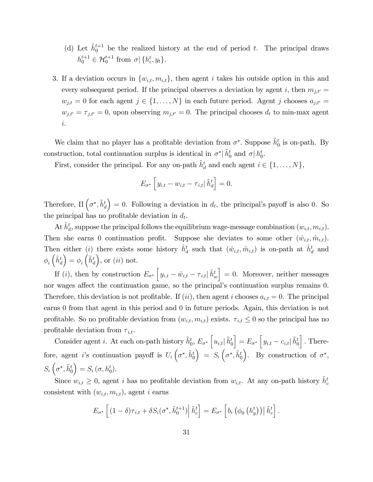- (d) Let  $\tilde{h}_0^{t+1}$  be the realized history at the end of period t. The principal draws  $h_0^{t+1} \in \mathcal{H}_0^{t+1}$  from  $\sigma | \{h_c^t, y_t\}.$
- 3. If a deviation occurs in  $\{w_{i,t}, m_{i,t}\}\$ , then agent i takes his outside option in this and every subsequent period. If the principal observes a deviation by agent i, then  $m_{j,t'} =$  $w_{j,t} = 0$  for each agent  $j \in \{1, ..., N\}$  in each future period. Agent j chooses  $a_{j,t'} =$  $w_{j,t'} = \tau_{j,t'} = 0$ , upon observing  $m_{j,t'} = 0$ . The principal chooses  $d_t$  to min-max agent i.

We claim that no player has a profitable deviation from  $\sigma^*$ . Suppose  $\tilde{h}_0^t$  is on-path. By construction, total continuation surplus is identical in  $\sigma^*$   $\tilde{h}^t_0$  and  $\sigma$   $h^t_0$ .

First, consider the principal. For any on-path  $\tilde{h}^t_d$  and each agent  $i \in \{1, \ldots, N\}$ ,

$$
E_{\sigma^*} \left[ y_{i,t} - w_{i,t} - \tau_{i,t} \,|\, \tilde{h}_d^t \right] = 0.
$$

Therefore,  $\Pi\left(\sigma^*, \tilde{h}_d^t\right)$  $= 0$ . Following a deviation in  $d_t$ , the principal's payoff is also 0. So the principal has no profitable deviation in  $d_t$ .

At  $\tilde{h}^t_d$ , suppose the principal follows the equilibrium wage-message combination  $(w_{i,t}, m_{i,t})$ . Then she earns 0 continuation profit. Suppose she deviates to some other  $(\hat{w}_{i,t}, \hat{m}_{i,t})$ . Then either (*i*) there exists some history  $\hat{h}^t_d$  such that  $(\hat{w}_{i,t}, \hat{m}_{i,t})$  is on-path at  $\hat{h}^t_d$  and  $\phi_i\left(\hat{h}_d^t\right)$  $\Big) = \phi_i\left(\tilde{h}_d^t\right)$ ), or  $(ii)$  not.

If (*i*), then by construction  $E_{\sigma^*}\left[y_{i,t} - \hat{w}_{i,t} - \tau_{i,t}\right] \hat{h}_w^t$  $\vert = 0$ . Moreover, neither messages nor wages affect the continuation game, so the principal's continuation surplus remains 0. Therefore, this deviation is not profitable. If (ii), then agent i chooses  $a_{i,t} = 0$ . The principal earns 0 from that agent in this period and 0 in future periods. Again, this deviation is not profitable. So no profitable deviation from  $(w_{i,t}, m_{i,t})$  exists.  $\tau_{i,t} \leq 0$  so the principal has no profitable deviation from  $\tau_{i,t}$ .

Consider agent *i*. At each on-path history  $\tilde{h}^t_0$ ,  $E_{\sigma^*}\left[u_{i,t}\right]\tilde{h}^t_0$  $\Big] = E_{\sigma^*} \Big[ y_{i,t} - c_{i,t} | \tilde{h}_0^t$ i : Therefore, agent *i*'s continuation payoff is  $U_i\left(\sigma^*, \tilde{h}_0^t\right)$  $\Big) = S_i \left( \sigma^*, \tilde{h}_0^t \right)$ ). By construction of  $\sigma^*$ ,  $S_i\left(\sigma^*, \tilde{h}_0^t\right)$  $= S_i (\sigma, h_0^t).$ 

Since  $w_{i,t} \geq 0$ , agent i has no profitable deviation from  $w_{i,t}$ . At any on-path history  $\tilde{h}_c^t$ consistent with  $(w_{i,t}, m_{i,t})$ , agent *i* earns

$$
E_{\sigma^*}\left[ (1-\delta)\tau_{i,t} + \delta S_i(\sigma^*,\tilde{h}_0^{t+1}) \middle| \tilde{h}_c^t \right] = E_{\sigma^*}\left[ b_i \left( \phi_0 \left( h_y^t \right) \right) \middle| \tilde{h}_c^t \right].
$$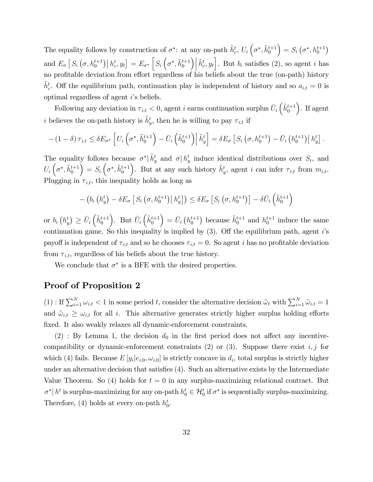The equality follows by construction of  $\sigma^*$ : at any on-path  $\tilde{h}_c^t$ ,  $U_i \left( \sigma^*, \tilde{h}_0^{t+1} \right)$  $= S_i (\sigma^*, h_0^{t+1})$ and  $E_{\sigma} [S_i (\sigma, h_0^{t+1}) | h_c^t, y_t] = E_{\sigma^*} [S_i (\sigma^*, \tilde{h}_0^{t+1})]$  $\left[\tilde{h}_c^t, y_t\right]$ . But  $b_i$  satisfies (2), so agent *i* has no profitable deviation from effort regardless of his beliefs about the true (on-path) history  $\tilde{h}_{c}^{t}$ . Off the equilibrium path, continuation play is independent of history and so  $a_{i,t} = 0$  is optimal regardless of agent  $i$ 's beliefs.

Following any deviation in  $\tau_{i,t} < 0$ , agent i earns continuation surplus  $\bar{U}_i \left( \tilde{h}_0^{t+1} \right)$  . If agent *i* believes the on-path history is  $\tilde{h}^t_y$ , then he is willing to pay  $\tau_{i,t}$  if

$$
-\left(1-\delta\right)\tau_{i,t} \leq \delta E_{\sigma^*}\left[U_i\left(\sigma^*,\tilde{h}_0^{t+1}\right) - \bar{U}_i\left(\tilde{h}_0^{t+1}\right)\middle|\tilde{h}_y^t\right] = \delta E_{\sigma}\left[S_i\left(\sigma,h_0^{t+1}\right) - \bar{U}_i\left(h_0^{t+1}\right)\middle|\tilde{h}_y^t\right].
$$

The equality follows because  $\sigma^* \mid \tilde{h}_y^t$  and  $\sigma \mid h_y^t$  induce identical distributions over  $S_i$ , and  $U_i\left(\sigma^*, \tilde{h}_0^{t+1}\right)$  $= S_i \left( \sigma^*, \tilde{h}_0^{t+1} \right)$ ). But at any such history  $\tilde{h}^t_y$ , agent i can infer  $\tau_{i,t}$  from  $m_{i,t}$ . Plugging in  $\tau_{i,t}$ , this inequality holds as long as

$$
-\left(b_i\left(h_y^t\right) - \delta E_{\sigma}\left[S_i\left(\sigma, h_0^{t+1}\right) \middle| h_y^t\right]\right) \leq \delta E_{\sigma}\left[S_i\left(\sigma, h_0^{t+1}\right)\right] - \delta \bar{U}_i\left(\tilde{h}_0^{t+1}\right)
$$

or  $b_i(h_y^t) \ge \overline{U}_i\left(\tilde{h}_0^{t+1}\right)$ ). But  $\bar{U}_i\left(\tilde{h}_0^{t+1}\right)$  $\left( \begin{array}{c} \end{array} \right) = \bar{U}_i \left( h_0^{t+1} \right)$  because  $\tilde{h}_0^{t+1}$  and  $h_0^{t+1}$  induce the same continuation game. So this inequality is implied by  $(3)$ . Off the equilibrium path, agent is payoff is independent of  $\tau_{i,t}$  and so he chooses  $\tau_{i,t} = 0$ . So agent i has no profitable deviation from  $\tau_{i,t}$ , regardless of his beliefs about the true history.

We conclude that  $\sigma^*$  is a BFE with the desired properties.

### Proof of Proposition 2

 $(1)$ : If  $\sum_{i=1}^{N} \omega_{i,t} < 1$  in some period t, consider the alternative decision  $\tilde{\omega}_t$  with  $\sum_{i=1}^{N} \tilde{\omega}_{i,t} = 1$ and  $\tilde{\omega}_{i,t} \geq \omega_{i,t}$  for all i. This alternative generates strictly higher surplus holding efforts fixed. It also weakly relaxes all dynamic-enforcement constraints.

 $(2)$ : By Lemma 1, the decision  $d_0$  in the first period does not affect any incentivecompatibility or dynamic-enforcement constraints (2) or (3). Suppose there exist  $i, j$  for which (4) fails. Because  $E[y_i|e_{i,0}, \omega_{i,0}]$  is strictly concave in  $d_i$ , total surplus is strictly higher under an alternative decision that satisfies  $(4)$ . Such an alternative exists by the Intermediate Value Theorem. So (4) holds for  $t = 0$  in any surplus-maximizing relational contract. But  $\sigma^* | h^t$  is surplus-maximizing for any on-path  $h_0^t \in \mathcal{H}_0^t$  if  $\sigma^*$  is sequentially surplus-maximizing. Therefore, (4) holds at every on-path  $h_0^t$ .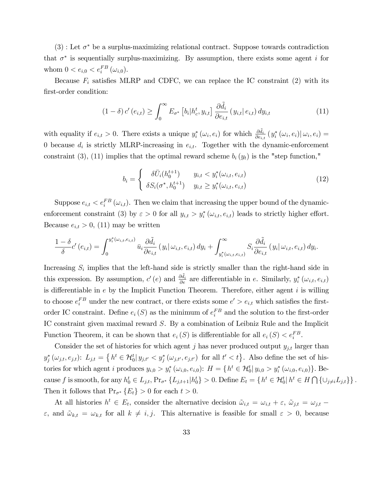$(3)$ : Let  $\sigma^*$  be a surplus-maximizing relational contract. Suppose towards contradiction that  $\sigma^*$  is sequentially surplus-maximizing. By assumption, there exists some agent i for whom  $0 < e_{i,0} < e_i^{FB} (\omega_{i,0}).$ 

Because  $F_i$  satisfies MLRP and CDFC, we can replace the IC constraint (2) with its first-order condition:

$$
(1 - \delta) c'(e_{i,t}) \ge \int_0^\infty E_{\sigma^*} \left[ b_i | h_c^t, y_{i,t} \right] \frac{\partial \tilde{d}_i}{\partial e_{i,t}} (y_{i,t} | e_{i,t}) dy_{i,t} \tag{11}
$$

with equality if  $e_{i,t} > 0$ . There exists a unique  $y_i^* (\omega_i, e_i)$  for which  $\frac{\partial \tilde{d}_i}{\partial e_{i,t}} (y_i^* (\omega_i, e_i) | \omega_i, e_i) =$ 0 because  $d_i$  is strictly MLRP-increasing in  $e_{i,t}$ . Together with the dynamic-enforcement constraint (3), (11) implies that the optimal reward scheme  $b_i(y_t)$  is the "step function,"

$$
b_i = \begin{cases} \delta \bar{U}_i(h_0^{t+1}) & y_{i,t} < y_i^*(\omega_{i,t}, e_{i,t}) \\ \delta S_i(\sigma^*, h_0^{t+1}) & y_{i,t} \ge y_i^*(\omega_{i,t}, e_{i,t}) \end{cases} \tag{12}
$$

Suppose  $e_{i,t} < e_i^{FB}(\omega_{i,t})$ . Then we claim that increasing the upper bound of the dynamicenforcement constraint (3) by  $\varepsilon > 0$  for all  $y_{i,t} > y_i^* (\omega_{i,t}, e_{i,t})$  leads to strictly higher effort. Because  $e_{i,t} > 0$ , (11) may be written

$$
\frac{1-\delta}{\delta}c'\left(e_{i,t}\right)=\int_{0}^{y_{i}^{*}\left(\omega_{i,t},e_{i,t}\right)}\bar{u}_{i}\frac{\partial\tilde{d}_{i}}{\partial e_{i,t}}\left(y_{i}\right|\omega_{i,t},e_{i,t}\right)dy_{i}+\int_{y_{i}^{*}\left(\omega_{i,t},e_{i,t}\right)}^{\infty}S_{i}\frac{\partial\tilde{d}_{i}}{\partial e_{i,t}}\left(y_{i}\right|\omega_{i,t},e_{i,t}\right)dy_{i}.
$$

Increasing  $S_i$  implies that the left-hand side is strictly smaller than the right-hand side in this expression. By assumption,  $c'(e)$  and  $\frac{\partial \tilde{d}_i}{\partial e}$  are differentiable in e. Similarly,  $y_i^* (\omega_{i,t}, e_{i,t})$ is differentiable in  $e$  by the Implicit Function Theorem. Therefore, either agent  $i$  is willing to choose  $e_i^{FB}$  under the new contract, or there exists some  $e' > e_{i,t}$  which satisfies the firstorder IC constraint. Define  $e_i(S)$  as the minimum of  $e_i^{FB}$  and the solution to the first-order IC constraint given maximal reward S. By a combination of Leibniz Rule and the Implicit Function Theorem, it can be shown that  $e_i(S)$  is differentiable for all  $e_i(S) < e_i^{FB}$ .

Consider the set of histories for which agent j has never produced output  $y_{j,t}$  larger than  $y_j^*(\omega_{j,t}, e_{j,t})$ :  $L_{j,t} = \left\{ h^t \in \mathcal{H}_0^t | y_{j,t'} < y_j^*(\omega_{j,t'}, e_{j,t'}) \right\}$  for all  $t' < t \right\}$ . Also define the set of histories for which agent *i* produces  $y_{i,0} > y_i^* (\omega_{i,0}, e_{i,0})$ :  $H = \{h^t \in H_0^t | y_{i,0} > y_i^* (\omega_{i,0}, e_{i,0})\}$ . Because f is smooth, for any  $h_0^t \in L_{j,t}$ ,  $Pr_{\sigma^*}\{L_{j,t+1}|h_0^t\} > 0$ . Define  $E_t = \{h^t \in H_0^t | h^t \in H \cap \{\cup_{j \neq i} L_{j,t}\}\}\.$ Then it follows that  $Pr_{\sigma^*}\{E_t\} > 0$  for each  $t > 0$ .

At all histories  $h^t \in E_t$ , consider the alternative decision  $\tilde{\omega}_{i,t} = \omega_{i,t} + \varepsilon$ ,  $\tilde{\omega}_{j,t} = \omega_{j,t}$  $\varepsilon$ , and  $\tilde{\omega}_{k,t} = \omega_{k,t}$  for all  $k \neq i, j$ . This alternative is feasible for small  $\varepsilon > 0$ , because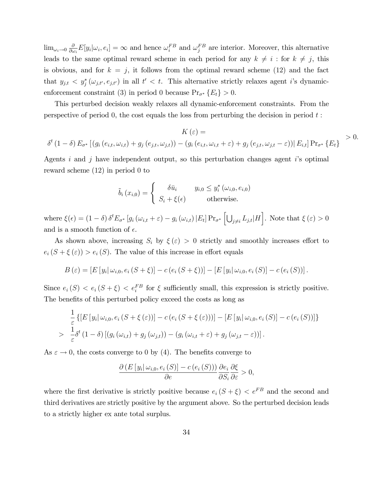$\lim_{\omega_i \to 0} \frac{\partial}{\partial \omega_i}$  $\frac{\partial}{\partial \omega_i} E[y_i|\omega_i, e_i] = \infty$  and hence  $\omega_i^{FB}$  and  $\omega_j^{FB}$  are interior. Moreover, this alternative leads to the same optimal reward scheme in each period for any  $k \neq i$ : for  $k \neq j$ , this is obvious, and for  $k = j$ , it follows from the optimal reward scheme (12) and the fact that  $y_{j,t} < y_j^*(\omega_{j,t'}, e_{j,t'})$  in all  $t' < t$ . This alternative strictly relaxes agent i's dynamicenforcement constraint (3) in period 0 because  $Pr_{\sigma^*}\{E_t\} > 0$ .

This perturbed decision weakly relaxes all dynamic-enforcement constraints. From the perspective of period 0, the cost equals the loss from perturbing the decision in period  $t$ :

$$
K(\varepsilon) =
$$
  
\n
$$
\delta^{t} (1 - \delta) E_{\sigma^{*}} [(g_{i} (e_{i,t}, \omega_{i,t}) + g_{j} (e_{j,t}, \omega_{j,t})) - (g_{i} (e_{i,t}, \omega_{i,t} + \varepsilon) + g_{j} (e_{j,t}, \omega_{j,t} - \varepsilon)) | E_{i,t}] Pr_{\sigma^{*}} \{E_{t}\}\n> 0.
$$

Agents i and j have independent output, so this perturbation changes agent is optimal reward scheme (12) in period 0 to

$$
\tilde{b}_{i}(x_{i,0}) = \begin{cases}\n\delta \bar{u}_{i} & y_{i,0} \leq y_{i}^{*}(\omega_{i,0}, e_{i,0}) \\
S_{i} + \xi(\epsilon) & \text{otherwise.} \n\end{cases}
$$

where  $\xi(\epsilon) = (1 - \delta) \delta^t E_{\sigma^*} [g_i(\omega_{i,t} + \epsilon) - g_i(\omega_{i,t}) | E_t] Pr_{\sigma^*} [U_{j \neq i} L_{j,t} | H].$  Note that  $\xi(\epsilon) > 0$ and is a smooth function of  $\epsilon$ .

As shown above, increasing  $S_i$  by  $\xi(\varepsilon) > 0$  strictly and smoothly increases effort to  $e_i (S + \xi(\varepsilon)) > e_i(S)$ . The value of this increase in effort equals

$$
B(\varepsilon) = [E[y_i | \omega_{i,0}, e_i(S + \xi)] - c(e_i(S + \xi))] - [E[y_i | \omega_{i,0}, e_i(S)] - c(e_i(S))].
$$

Since  $e_i(S) < e_i(S + \xi) < e_i^{FB}$  for  $\xi$  sufficiently small, this expression is strictly positive. The benefits of this perturbed policy exceed the costs as long as

$$
\frac{1}{\varepsilon} \left\{ \left[E\left[y_i|\,\omega_{i,0},e_i\left(S+\xi\left(\varepsilon\right)\right)\right] - c\left(e_i\left(S+\xi\left(\varepsilon\right)\right)\right) \right] - \left[E\left[y_i|\,\omega_{i,0},e_i\left(S\right)\right] - c\left(e_i\left(S\right)\right)\right] \right\} \n> \frac{1}{\varepsilon} \delta^t \left(1-\delta\right) \left[\left(g_i\left(\omega_{i,t}\right)+g_j\left(\omega_{j,t}\right)\right) - \left(g_i\left(\omega_{i,t}+\varepsilon\right)+g_j\left(\omega_{j,t}-\varepsilon\right)\right)\right].
$$

As  $\varepsilon \to 0$ , the costs converge to 0 by (4). The benefits converge to

$$
\frac{\partial (E[y_i|\omega_{i,0}, e_i(S)] - c(e_i(S)))}{\partial e} \frac{\partial e_i}{\partial S_i} \frac{\partial \xi}{\partial \varepsilon} > 0,
$$

where the first derivative is strictly positive because  $e_i (S + \xi) < e^{FB}$  and the second and third derivatives are strictly positive by the argument above. So the perturbed decision leads to a strictly higher ex ante total surplus.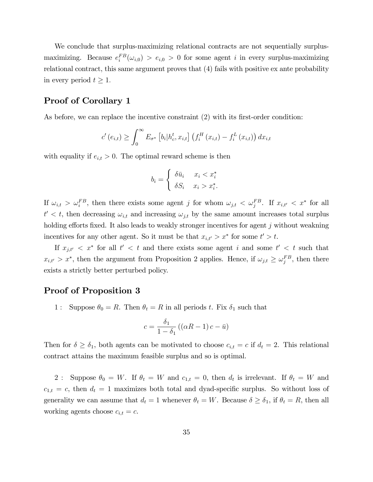We conclude that surplus-maximizing relational contracts are not sequentially surplusmaximizing. Because  $e_i^{FB}(\omega_{i,0}) > e_{i,0} > 0$  for some agent i in every surplus-maximizing relational contract, this same argument proves that (4) fails with positive ex ante probability in every period  $t \geq 1$ .

## Proof of Corollary 1

As before, we can replace the incentive constraint  $(2)$  with its first-order condition:

$$
c'(e_{i,t}) \geq \int_0^{\infty} E_{\sigma^*} \left[ b_i \big| h_c^t, x_{i,t} \right] \left( f_i^H \left( x_{i,t} \right) - f_i^L \left( x_{i,t} \right) \right) dx_{i,t}
$$

with equality if  $e_{i,t} > 0$ . The optimal reward scheme is then

$$
b_i = \begin{cases} \delta \bar{u}_i & x_i < x_i^* \\ \delta S_i & x_i > x_i^*. \end{cases}
$$

If  $\omega_{i,t} > \omega_i^{FB}$ , then there exists some agent j for whom  $\omega_{j,t} < \omega_j^{FB}$ . If  $x_{i,t'} < x^*$  for all  $t' < t$ , then decreasing  $\omega_{i,t}$  and increasing  $\omega_{j,t}$  by the same amount increases total surplus holding efforts fixed. It also leads to weakly stronger incentives for agent  $j$  without weakning incentives for any other agent. So it must be that  $x_{i,t'} > x^*$  for some  $t' > t$ .

If  $x_{j,t'} \leq x^*$  for all  $t' \leq t$  and there exists some agent i and some  $t' \leq t$  such that  $x_{i,t'} > x^*$ , then the argument from Proposition 2 applies. Hence, if  $\omega_{j,t} \ge \omega_j^{FB}$ , then there exists a strictly better perturbed policy.

### Proof of Proposition 3

1 : Suppose  $\theta_0 = R$ . Then  $\theta_t = R$  in all periods t. Fix  $\delta_1$  such that

$$
c = \frac{\delta_1}{1 - \delta_1} \left( \left( \alpha R - 1 \right) c - \bar{u} \right)
$$

Then for  $\delta \geq \delta_1$ , both agents can be motivated to choose  $c_{i,t} = c$  if  $d_t = 2$ . This relational contract attains the maximum feasible surplus and so is optimal.

2: Suppose  $\theta_0 = W$ . If  $\theta_t = W$  and  $c_{1,t} = 0$ , then  $d_t$  is irrelevant. If  $\theta_t = W$  and  $c_{1,t} = c$ , then  $d_t = 1$  maximizes both total and dyad-specific surplus. So without loss of generality we can assume that  $d_t = 1$  whenever  $\theta_t = W$ . Because  $\delta \geq \delta_1$ , if  $\theta_t = R$ , then all working agents choose  $c_{i,t} = c$ .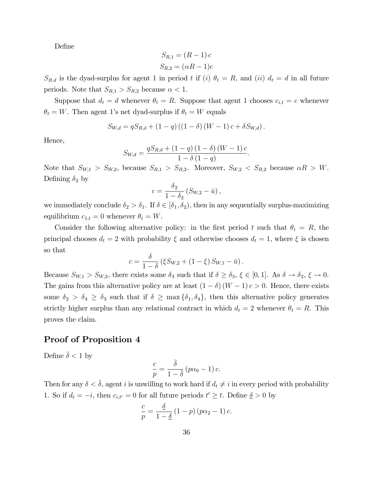DeÖne

$$
S_{R,1} = (R-1)c
$$
  

$$
S_{R,2} = (\alpha R - 1)c
$$

 $S_{R,d}$  is the dyad-surplus for agent 1 in period t if (i)  $\theta_t = R$ , and (ii)  $d_t = d$  in all future periods. Note that  $S_{R,1} > S_{R,2}$  because  $\alpha < 1$ .

Suppose that  $d_t = d$  whenever  $\theta_t = R$ . Suppose that agent 1 chooses  $c_{i,t} = c$  whenever  $\theta_t = W$ . Then agent 1's net dyad-surplus if  $\theta_t = W$  equals

$$
S_{W,d} = qS_{R,d} + (1-q)((1-\delta)(W-1)c + \delta S_{W,d}).
$$

Hence,

$$
S_{W,d} = \frac{qS_{R,d} + (1-q) (1-\delta) (W-1) c}{1-\delta (1-q)}.
$$

Note that  $S_{W,1} > S_{W,2}$ , because  $S_{R,1} > S_{R,2}$ . Moreover,  $S_{W,2} < S_{R,2}$  because  $\alpha R > W$ . Defining  $\delta_2$  by

$$
c = \frac{\delta_2}{1 - \delta_2} \left( S_{W,2} - \bar{u} \right),
$$

we immediately conclude  $\delta_2 > \delta_1$ . If  $\delta \in [\delta_1, \delta_2)$ , then in any sequentially surplus-maximizing equilibrium  $c_{1,t} = 0$  whenever  $\theta_t = W$ .

Consider the following alternative policy: in the first period t such that  $\theta_t = R$ , the principal chooses  $d_t = 2$  with probability  $\xi$  and otherwise chooses  $d_t = 1$ , where  $\xi$  is chosen so that

$$
c = \frac{\delta}{1 - \delta} \left( \xi S_{W,2} + (1 - \xi) S_{W,1} - \bar{u} \right).
$$

Because  $S_{W,1} > S_{W,2}$ , there exists some  $\delta_3$  such that if  $\delta \ge \delta_3$ ,  $\xi \in [0,1]$ . As  $\delta \to \delta_2$ ,  $\xi \to 0$ . The gains from this alternative policy are at least  $(1 - \delta)(W - 1)c > 0$ . Hence, there exists some  $\delta_2 > \delta_4 \geq \delta_3$  such that if  $\delta \geq \max{\delta_1, \delta_4}$ , then this alternative policy generates strictly higher surplus than any relational contract in which  $d_t = 2$  whenever  $\theta_t = R$ . This proves the claim.

## Proof of Proposition 4

Define  $\bar{\delta}$  < 1 by

$$
\frac{c}{p} = \frac{\overline{\delta}}{1 - \overline{\delta}} (p\alpha_0 - 1) c.
$$

Then for any  $\delta < \bar{\delta}$ , agent i is unwilling to work hard if  $d_t \neq i$  in every period with probability 1. So if  $d_t = -i$ , then  $c_{i,t'} = 0$  for all future periods  $t' \geq t$ . Define  $\delta > 0$  by

$$
\frac{c}{p} = \frac{\underline{\delta}}{1 - \underline{\delta}} (1 - p) (p\alpha_2 - 1) c.
$$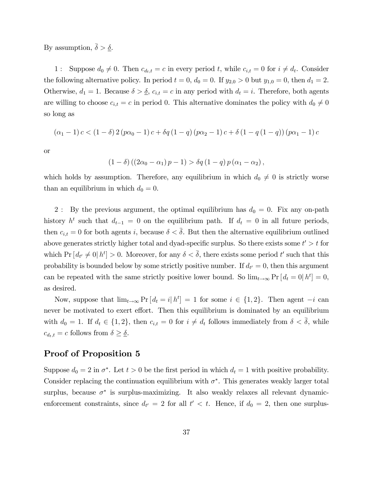By assumption,  $\bar{\delta} > \underline{\delta}$ .

1 : Suppose  $d_0 \neq 0$ . Then  $c_{d_t,t} = c$  in every period t, while  $c_{i,t} = 0$  for  $i \neq d_t$ . Consider the following alternative policy. In period  $t = 0$ ,  $d_0 = 0$ . If  $y_{2,0} > 0$  but  $y_{1,0} = 0$ , then  $d_1 = 2$ . Otherwise,  $d_1 = 1$ . Because  $\delta > \underline{\delta}$ ,  $c_{i,t} = c$  in any period with  $d_t = i$ . Therefore, both agents are willing to choose  $c_{i,t} = c$  in period 0. This alternative dominates the policy with  $d_0 \neq 0$ so long as

$$
(\alpha_1 - 1) c < (1 - \delta) 2 (p\alpha_0 - 1) c + \delta q (1 - q) (p\alpha_2 - 1) c + \delta (1 - q (1 - q)) (p\alpha_1 - 1) c
$$

or

$$
(1 - \delta) ((2\alpha_0 - \alpha_1) p - 1) > \delta q (1 - q) p (\alpha_1 - \alpha_2),
$$

which holds by assumption. Therefore, any equilibrium in which  $d_0 \neq 0$  is strictly worse than an equilibrium in which  $d_0 = 0$ .

2 : By the previous argument, the optimal equilibrium has  $d_0 = 0$ . Fix any on-path history  $h^t$  such that  $d_{t-1} = 0$  on the equilibrium path. If  $d_t = 0$  in all future periods, then  $c_{i,t} = 0$  for both agents i, because  $\delta < \overline{\delta}$ . But then the alternative equilibrium outlined above generates strictly higher total and dyad-specific surplus. So there exists some  $t' > t$  for which  $Pr[d_{t'} \neq 0 | h^{t}] > 0$ . Moreover, for any  $\delta < \overline{\delta}$ , there exists some period t' such that this probability is bounded below by some strictly positive number. If  $d_{t'} = 0$ , then this argument can be repeated with the same strictly positive lower bound. So  $\lim_{t\to\infty} \Pr [d_t = 0, h^t] = 0$ , as desired.

Now, suppose that  $\lim_{t\to\infty} \Pr\left[d_t = i | h^t\right] = 1$  for some  $i \in \{1, 2\}$ . Then agent  $-i$  can never be motivated to exert effort. Then this equilibrium is dominated by an equilibrium with  $d_0 = 1$ . If  $d_t \in \{1, 2\}$ , then  $c_{i,t} = 0$  for  $i \neq d_t$  follows immediately from  $\delta < \overline{\delta}$ , while  $c_{d_t,t} = c$  follows from  $\delta \geq \underline{\delta}$ .

### Proof of Proposition 5

Suppose  $d_0 = 2$  in  $\sigma^*$ . Let  $t > 0$  be the first period in which  $d_t = 1$  with positive probability. Consider replacing the continuation equilibrium with  $\sigma^*$ . This generates weakly larger total surplus, because  $\sigma^*$  is surplus-maximizing. It also weakly relaxes all relevant dynamicenforcement constraints, since  $d_{t'} = 2$  for all  $t' < t$ . Hence, if  $d_0 = 2$ , then one surplus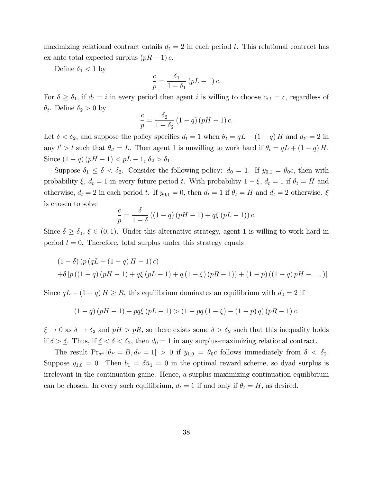maximizing relational contract entails  $d_t = 2$  in each period t. This relational contract has ex ante total expected surplus  $(pR - 1)c$ .

Define  $\delta_1 < 1$  by

$$
\frac{c}{p} = \frac{\delta_1}{1 - \delta_1} (pL - 1) c.
$$

For  $\delta \geq \delta_1$ , if  $d_t = i$  in every period then agent i is willing to choose  $c_{i,t} = c$ , regardless of  $\theta_t$ . Define  $\delta_2 > 0$  by

$$
\frac{c}{p} = \frac{\delta_2}{1 - \delta_2} \left( 1 - q \right) \left( pH - 1 \right) c.
$$

Let  $\delta < \delta_2$ , and suppose the policy specifies  $d_t = 1$  when  $\theta_t = qL + (1 - q)H$  and  $d_{t'} = 2$  in any  $t' > t$  such that  $\theta_{t'} = L$ . Then agent 1 is unwilling to work hard if  $\theta_t = qL + (1 - q)H$ . Since  $(1 - q)(pH - 1) < pL - 1, \delta_2 > \delta_1$ .

Suppose  $\delta_1 \leq \delta < \delta_2$ . Consider the following policy:  $d_0 = 1$ . If  $y_{0,1} = \theta_0 c$ , then with probability  $\xi$ ,  $d_t = 1$  in every future period t. With probability  $1 - \xi$ ,  $d_t = 1$  if  $\theta_t = H$  and otherwise,  $d_t = 2$  in each period t. If  $y_{0,1} = 0$ , then  $d_t = 1$  if  $\theta_t = H$  and  $d_t = 2$  otherwise.  $\xi$ is chosen to solve

$$
\frac{c}{p} = \frac{\delta}{1-\delta} \left( (1-q) \left( pH - 1 \right) + q\xi \left( pL - 1 \right) \right) c.
$$

Since  $\delta \geq \delta_1$ ,  $\xi \in (0,1)$ . Under this alternative strategy, agent 1 is willing to work hard in period  $t = 0$ . Therefore, total surplus under this strategy equals

$$
(1 - \delta) (p (qL + (1 - q) H - 1) c)
$$
  
+  $\delta [p ((1 - q) (pH - 1) + q\xi (pL - 1) + q (1 - \xi) (pR - 1)) + (1 - p) ((1 - q) pH - ...)]$ 

Since  $qL + (1 - q)H \ge R$ , this equilibrium dominates an equilibrium with  $d_0 = 2$  if

$$
(1-q)(pH-1) + pq\xi (pL-1) > (1 - pq(1 - \xi) - (1 - p) q) (pR - 1) c.
$$

 $\xi \to 0$  as  $\delta \to \delta_2$  and  $pH > pR$ , so there exists some  $\underline{\delta} > \delta_2$  such that this inequality holds if  $\delta > \underline{\delta}$ . Thus, if  $\underline{\delta} < \delta < \delta_2$ , then  $d_0 = 1$  in any surplus-maximizing relational contract.

The result  $Pr_{\sigma^*}[\theta_{t'} = B, d_{t'} = 1] > 0$  if  $y_{1,0} = \theta_0 c$  follows immediately from  $\delta < \delta_2$ . Suppose  $y_{1,0} = 0$ . Then  $b_1 = \delta \bar{u}_1 = 0$  in the optimal reward scheme, so dyad surplus is irrelevant in the continuation game. Hence, a surplus-maximizing continuation equilibrium can be chosen. In every such equilibrium,  $d_t = 1$  if and only if  $\theta_t = H$ , as desired.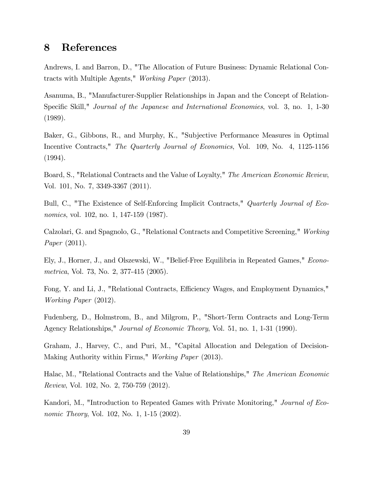# 8 References

Andrews, I. and Barron, D., "The Allocation of Future Business: Dynamic Relational Contracts with Multiple Agents," Working Paper (2013).

Asanuma, B., "Manufacturer-Supplier Relationships in Japan and the Concept of Relation-Specific Skill," *Journal of the Japanese and International Economies*, vol. 3, no. 1, 1-30 (1989).

Baker, G., Gibbons, R., and Murphy, K., "Subjective Performance Measures in Optimal Incentive Contracts," The Quarterly Journal of Economics, Vol. 109, No. 4, 1125-1156 (1994).

Board, S., "Relational Contracts and the Value of Loyalty," The American Economic Review, Vol. 101, No. 7, 3349-3367 (2011).

Bull, C., "The Existence of Self-Enforcing Implicit Contracts," Quarterly Journal of Economics, vol. 102, no. 1, 147-159 (1987).

Calzolari, G. and Spagnolo, G., "Relational Contracts and Competitive Screening," Working Paper (2011).

Ely, J., Horner, J., and Olszewski, W., "Belief-Free Equilibria in Repeated Games," Econometrica, Vol. 73, No. 2, 377-415 (2005).

Fong, Y. and Li, J., "Relational Contracts, Efficiency Wages, and Employment Dynamics," Working Paper (2012).

Fudenberg, D., Holmstrom, B., and Milgrom, P., "Short-Term Contracts and Long-Term Agency Relationships," Journal of Economic Theory, Vol. 51, no. 1, 1-31 (1990).

Graham, J., Harvey, C., and Puri, M., "Capital Allocation and Delegation of Decision-Making Authority within Firms," Working Paper (2013).

Halac, M., "Relational Contracts and the Value of Relationships," The American Economic Review, Vol. 102, No. 2, 750-759 (2012).

Kandori, M., "Introduction to Repeated Games with Private Monitoring," Journal of Economic Theory, Vol. 102, No. 1, 1-15 (2002).